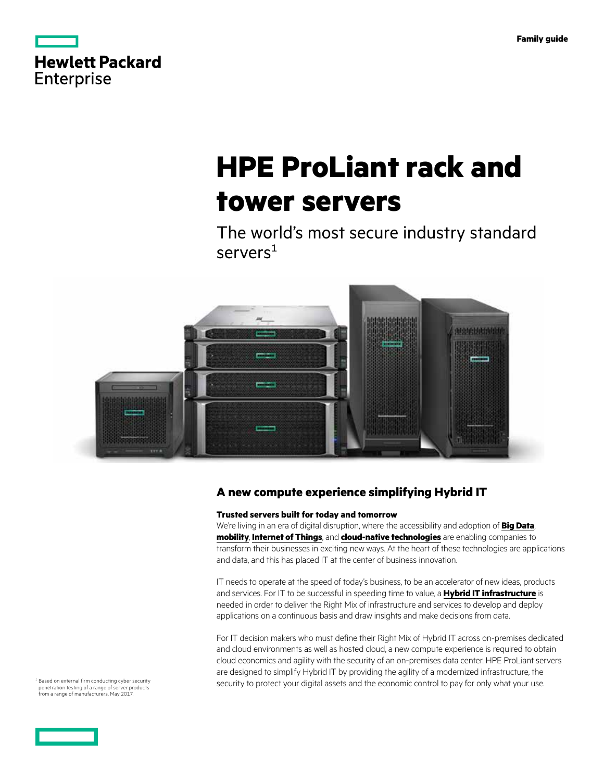<span id="page-0-0"></span>

|            | <b>Hewlett Packard</b> |
|------------|------------------------|
| Enterprise |                        |

# **HPE ProLiant rack and tower servers**

The world's most secure industry standard servers<sup>1</sup>



### **A new compute experience simplifying Hybrid IT**

### **Trusted servers built for today and tomorrow**

We're living in an era of digital disruption, where the accessibility and adoption of **[Big Data](https://www.hpe.com/bigdata)**, **[mobility](https://www.hpe.com/info/mobility)**, **[Internet of Things](https://www.hpe.com/info/iot)**, and **[cloud-native technologies](https://www.hpe.com/services/cloud)** are enabling companies to transform their businesses in exciting new ways. At the heart of these technologies are applications and data, and this has placed IT at the center of business innovation.

IT needs to operate at the speed of today's business, to be an accelerator of new ideas, products and services. For IT to be successful in speeding time to value, a **[Hybrid IT infrastructure](https://www.hpe.com/services/hybridIT)** is needed in order to deliver the Right Mix of infrastructure and services to develop and deploy applications on a continuous basis and draw insights and make decisions from data.

For IT decision makers who must define their Right Mix of Hybrid IT across on-premises dedicated and cloud environments as well as hosted cloud, a new compute experience is required to obtain cloud economics and agility with the security of an on-premises data center. HPE ProLiant servers are designed to simplify Hybrid IT by providing the agility of a modernized infrastructure, the security to protect your digital assets and the economic control to pay for only what your use.

<sup>1</sup> Based on external firm conducting cyber security penetration testing of a range of server products from a range of manufacturers, May 2017.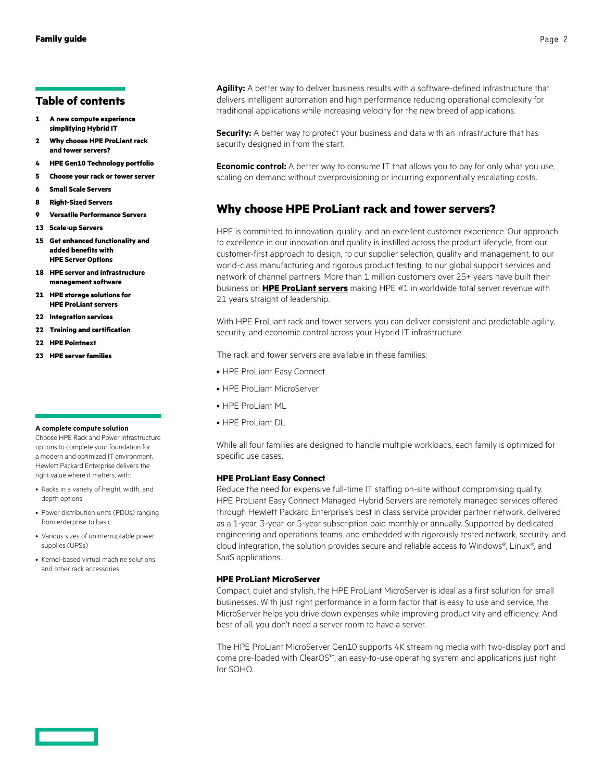### **Table of contents**

- **1 [A new compute experience](#page-0-0) [simplifying Hybrid IT](#page-0-0)**
- **2 Why choose HPE ProLiant rack and tower servers?**
- **4 [HPE Gen10 Technology portfolio](#page-3-0)**
- **5 [Choose your rack or tower server](#page-4-0)**
- **6 [Small Scale Servers](#page-5-0)**
- **8 [Right-Sized Servers](#page-7-0)**
- **9 [Versatile Performance Servers](#page-8-0)**
- **13 [Scale-up Servers](#page-12-0)**
- **15 [Get enhanced functionality and](#page-14-0)  [added benefits with](#page-14-0)  [HPE Server Options](#page-14-0)**
- **18 [HPE server and infrastructure](#page-17-0)  [management software](#page-17-0)**
- **21 [HPE storage solutions for](#page-20-0) [HPE ProLiant servers](#page-20-0)**
- **22 [Integration services](#page-21-0)**
- **22 [Training and certification](#page-21-0)**
- **22 [HPE Pointnext](#page-21-0)**
- **23 [HPE server families](#page-22-0)**

#### **A complete compute solution**

Choose HPE Rack and Power Infrastructure options to complete your foundation for a modern and optimized IT environment. Hewlett Packard Enterprise delivers the right value where it matters, with:

- Racks in a variety of height, width, and depth options
- Power distribution units (PDUs) ranging from enterprise to basic
- Various sizes of uninterruptable power supplies (UPSs)
- Kernel-based virtual machine solutions and other rack accessories

**Agility:** A better way to deliver business results with a software-defined infrastructure that delivers intelligent automation and high performance reducing operational complexity for traditional applications while increasing velocity for the new breed of applications.

**Security:** A better way to protect your business and data with an infrastructure that has security designed in from the start.

**Economic control:** A better way to consume IT that allows you to pay for only what you use, scaling on demand without overprovisioning or incurring exponentially escalating costs.

### **Why choose HPE ProLiant rack and tower servers?**

HPE is committed to innovation, quality, and an excellent customer experience. Our approach to excellence in our innovation and quality is instilled across the product lifecycle, from our customer-first approach to design, to our supplier selection, quality and management, to our world-class manufacturing and rigorous product testing, to our global support services and network of channel partners. More than 1 million customers over 25+ years have built their business on **[HPE ProLiant servers](https://www.hpe.com/info/proliant)** making HPE #1 in worldwide total server revenue with 21 years straight of leadership.

With HPE ProLiant rack and tower servers, you can deliver consistent and predictable agility, security, and economic control across your Hybrid IT infrastructure.

The rack and tower servers are available in these families:

- HPE ProLiant Easy Connect
- HPE ProLiant MicroServer
- HPE ProLiant ML
- HPE ProLiant DL

While all four families are designed to handle multiple workloads, each family is optimized for specific use cases.

### **HPE ProLiant Easy Connect**

Reduce the need for expensive full-time IT staffing on-site without compromising quality. HPE ProLiant Easy Connect Managed Hybrid Servers are remotely managed services offered through Hewlett Packard Enterprise's best in class service provider partner network, delivered as a 1-year, 3-year, or 5-year subscription paid monthly or annually. Supported by dedicated engineering and operations teams, and embedded with rigorously tested network, security, and cloud integration, the solution provides secure and reliable access to Windows®, Linux®, and SaaS applications.

#### **HPE ProLiant MicroServer**

Compact, quiet and stylish, the HPE ProLiant MicroServer is ideal as a first solution for small businesses. With just right performance in a form factor that is easy to use and service, the MicroServer helps you drive down expenses while improving productivity and efficiency. And best of all, you don't need a server room to have a server.

The HPE ProLiant MicroServer Gen10 supports 4K streaming media with two-display port and come pre-loaded with ClearOS™, an easy-to-use operating system and applications just right for SOHO.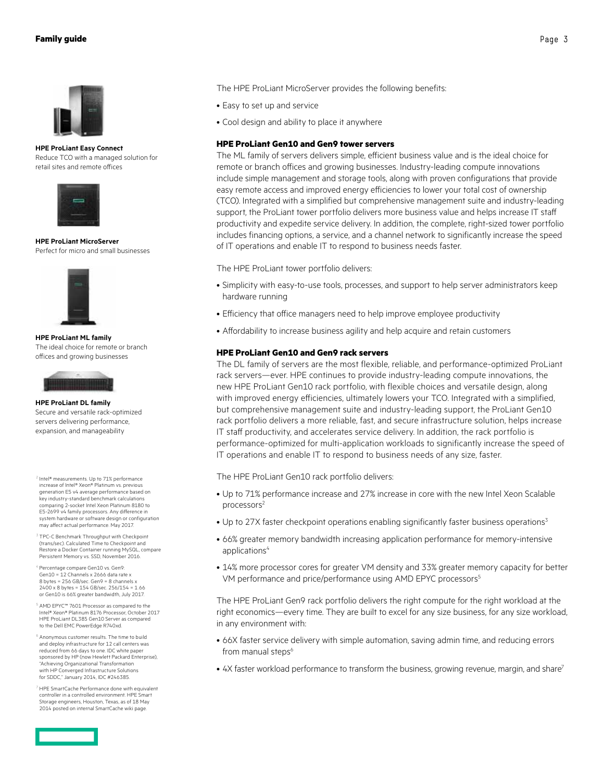

**HPE ProLiant Easy Connect** Reduce TCO with a managed solution for retail sites and remote offices



**HPE ProLiant MicroServer** Perfect for micro and small businesses



**HPE ProLiant ML family** The ideal choice for remote or branch offices and growing businesses



#### **HPE ProLiant DL family** Secure and versatile rack-optimized

servers delivering performance, expansion, and manageability

- <sup>2</sup> Intel® measurements. Up to 71% performance increase of Intel® Xeon® Platinum vs. previous generation E5 v4 average performance based on key industry-standard benchmark calculations comparing 2-socket Intel Xeon Platinum 8180 to E5-2699 v4 family processors. Any difference in system hardware or software design or configuration may affect actual performance. May 2017.
- <sup>3</sup> TPC-C Benchmark Throughput with Checkpoint (trans/sec). Calculated Time to Checkpoint and Restore a Docker Container running MySQL, compare Persistent Memory vs. SSD, November 2016.
- Percentage compare Gen10 vs. Gen9: Gen10 = 12 Channels x 2666 data rate x  $8$  bytes = 256 GB/sec. Gen $9$  = 8 channels  $x$ 2400 x 8 bytes = 154 GB/sec. 256/154 = 1.66 or Gen10 is 66% greater bandwidth, July 2017.
- <sup>5</sup> AMD EPYC™ 7601 Processor as compared to the Intel® Xeon® Platinum 8176 Processor, October 2017 HPE ProLiant DL385 Gen10 Server as compared to the Dell EMC PowerEdge R740xd.
- <sup>6</sup> Anonymous customer results. The time to build and deploy infrastructure for 12 call centers was reduced from 66 days to one. IDC white paper sponsored by HP (now Hewlett Packard Enterprise), "Achieving Organizational Transformation with HP Converged Infrastructure Solutions for SDDC," January 2014, IDC #246385.
- <sup>7</sup> HPE SmartCache Performance done with equivalent controller in a controlled environment. HPE Smart Storage engineers, Houston, Texas, as of 18 May 2014 posted on internal SmartCache wiki page.

The HPE ProLiant MicroServer provides the following benefits:

- Easy to set up and service
- Cool design and ability to place it anywhere

### **HPE ProLiant Gen10 and Gen9 tower servers**

The ML family of servers delivers simple, efficient business value and is the ideal choice for remote or branch offices and growing businesses. Industry-leading compute innovations include simple management and storage tools, along with proven configurations that provide easy remote access and improved energy efficiencies to lower your total cost of ownership (TCO). Integrated with a simplified but comprehensive management suite and industry-leading support, the ProLiant tower portfolio delivers more business value and helps increase IT staff productivity and expedite service delivery. In addition, the complete, right-sized tower portfolio includes financing options, a service, and a channel network to significantly increase the speed of IT operations and enable IT to respond to business needs faster.

The HPE ProLiant tower portfolio delivers:

- Simplicity with easy-to-use tools, processes, and support to help server administrators keep hardware running
- Efficiency that office managers need to help improve employee productivity
- Affordability to increase business agility and help acquire and retain customers

### **HPE ProLiant Gen10 and Gen9 rack servers**

The DL family of servers are the most flexible, reliable, and performance-optimized ProLiant rack servers—ever. HPE continues to provide industry-leading compute innovations, the new HPE ProLiant Gen10 rack portfolio, with flexible choices and versatile design, along with improved energy efficiencies, ultimately lowers your TCO. Integrated with a simplified, but comprehensive management suite and industry-leading support, the ProLiant Gen10 rack portfolio delivers a more reliable, fast, and secure infrastructure solution, helps increase IT staff productivity, and accelerates service delivery. In addition, the rack portfolio is performance-optimized for multi-application workloads to significantly increase the speed of IT operations and enable IT to respond to business needs of any size, faster.

The HPE ProLiant Gen10 rack portfolio delivers:

- Up to 71% performance increase and 27% increase in core with the new Intel Xeon Scalable processors<sup>2</sup>
- Up to 27X faster checkpoint operations enabling significantly faster business operations<sup>3</sup>
- 66% greater memory bandwidth increasing application performance for memory-intensive applications<sup>4</sup>
- 14% more processor cores for greater VM density and 33% greater memory capacity for better VM performance and price/performance using AMD EPYC processors<sup>5</sup>

The HPE ProLiant Gen9 rack portfolio delivers the right compute for the right workload at the right economics—every time. They are built to excel for any size business, for any size workload, in any environment with:

- 66X faster service delivery with simple automation, saving admin time, and reducing errors from manual steps<sup>6</sup>
- 4X faster workload performance to transform the business, growing revenue, margin, and share<sup>7</sup>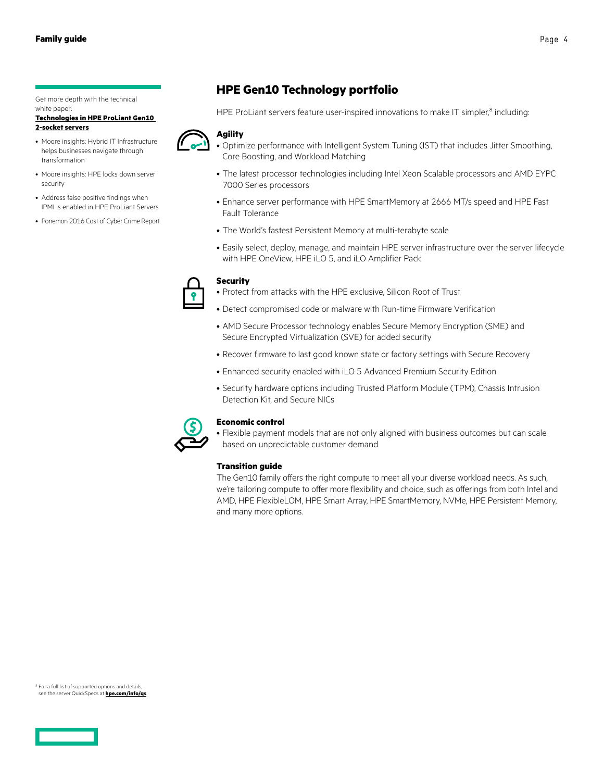<span id="page-3-0"></span>Get more depth with the technical white paper

#### **[Technologies in HPE ProLiant Gen10](https://www.hpe.com/h20195/v2/Getdocument.aspx?docname=4AA5-4487ENW)  [2-socket servers](https://www.hpe.com/h20195/v2/Getdocument.aspx?docname=4AA5-4487ENW)**



- helps businesses navigate through transformation
- Moore insights: HPE locks down server security
- Address false positive findings when IPMI is enabled in HPE ProLiant Servers
- Ponemon 2016 Cost of Cyber Crime Report

### **HPE Gen10 Technology portfolio**

HPE ProLiant servers feature user-inspired innovations to make IT simpler,<sup>8</sup> including:



- Optimize performance with Intelligent System Tuning (IST) that includes Jitter Smoothing, Core Boosting, and Workload Matching
- The latest processor technologies including Intel Xeon Scalable processors and AMD EYPC 7000 Series processors
- Enhance server performance with HPE SmartMemory at 2666 MT/s speed and HPE Fast Fault Tolerance
- The World's fastest Persistent Memory at multi-terabyte scale
- Easily select, deploy, manage, and maintain HPE server infrastructure over the server lifecycle with HPE OneView, HPE iLO 5, and iLO Amplifier Pack



### **Security**

• Protect from attacks with the HPE exclusive, Silicon Root of Trust

- Detect compromised code or malware with Run-time Firmware Verification
- AMD Secure Processor technology enables Secure Memory Encryption (SME) and Secure Encrypted Virtualization (SVE) for added security
- Recover firmware to last good known state or factory settings with Secure Recovery
- Enhanced security enabled with iLO 5 Advanced Premium Security Edition
- Security hardware options including Trusted Platform Module (TPM), Chassis Intrusion Detection Kit, and Secure NICs



### **Economic control**

• Flexible payment models that are not only aligned with business outcomes but can scale based on unpredictable customer demand

### **Transition guide**

The Gen10 family offers the right compute to meet all your diverse workload needs. As such, we're tailoring compute to offer more flexibility and choice, such as offerings from both Intel and AMD, HPE FlexibleLOM, HPE Smart Array, HPE SmartMemory, NVMe, HPE Persistent Memory, and many more options.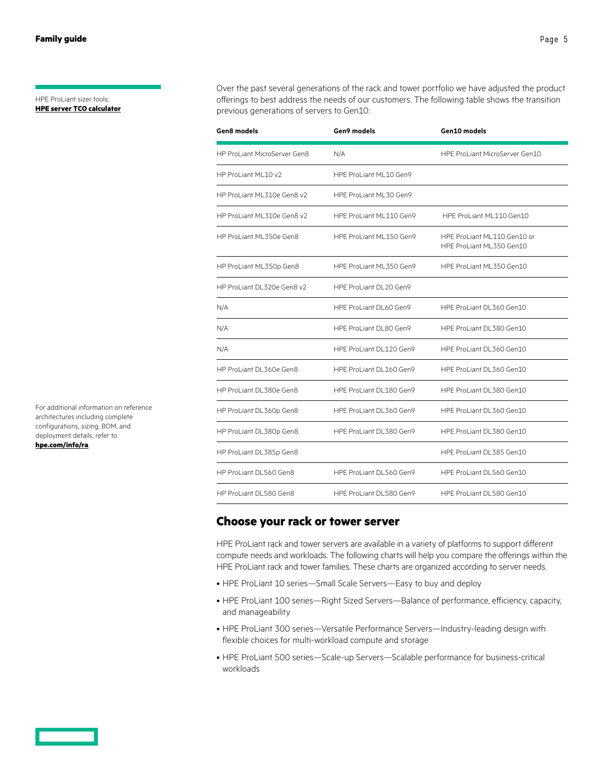#### <span id="page-4-0"></span>HPE ProLiant sizer tools: **[HPE server TCO calculator](http://www.hpe.com/us/en/solutions/tco-calculators.html)**

Over the past several generations of the rack and tower portfolio we have adjusted the product offerings to best address the needs of our customers. The following table shows the transition previous generations of servers to Gen10:

| Gen8 models                  | Gen9 models             | Gen10 models                                            |
|------------------------------|-------------------------|---------------------------------------------------------|
| HP ProLiant MicroServer Gen8 | N/A                     | HPE ProLiant MicroServer Gen10                          |
| HP ProLiant ML10 v2          | HPE ProLiant ML10 Gen9  |                                                         |
| HP ProLiant ML310e Gen8 v2   | HPE ProLiant ML30 Gen9  |                                                         |
| HP ProLiant ML310e Gen8 v2   | HPE ProLiant ML110 Gen9 | HPE ProLiant ML110 Gen10                                |
| HP ProLiant ML350e Gen8      | HPE ProLiant ML150 Gen9 | HPE ProLiant ML110 Gen10 or<br>HPE ProLiant ML350 Gen10 |
| HP ProLiant ML350p Gen8      | HPE ProLiant ML350 Gen9 | HPE ProLiant ML350 Gen10                                |
| HP ProLiant DL320e Gen8 v2   | HPE ProLiant DL20 Gen9  |                                                         |
| N/A                          | HPF ProLiant DL60 Gen9  | HPF ProLiant DL360 Gen10                                |
| N/A                          | HPE ProLiant DL80 Gen9  | HPE ProLiant DL380 Gen10                                |
| N/A                          | HPE ProLiant DL120 Gen9 | HPE ProLiant DL360 Gen10                                |
| HP ProLiant DL360e Gen8      | HPE ProLiant DL160 Gen9 | HPE ProLiant DL360 Gen10                                |
| HP ProLiant DL380e Gen8      | HPE ProLiant DL180 Gen9 | HPE ProLiant DL380 Gen10                                |
| HP ProLiant DL360p Gen8      | HPE ProLiant DL360 Gen9 | HPE ProLiant DL360 Gen10                                |
| HP ProLiant DL380p Gen8      | HPE ProLiant DL380 Gen9 | HPE ProLiant DL380 Gen10                                |
| HP ProLiant DL385p Gen8      |                         | HPE ProLiant DL385 Gen10                                |
| HP ProLiant DL560 Gen8       | HPE ProLiant DL560 Gen9 | HPE ProLiant DL560 Gen10                                |
| HP ProLiant DL580 Gen8       | HPE ProLiant DL580 Gen9 | HPE ProLiant DL580 Gen10                                |

### **Choose your rack or tower server**

HPE ProLiant rack and tower servers are available in a variety of platforms to support different compute needs and workloads. The following charts will help you compare the offerings within the HPE ProLiant rack and tower families. These charts are organized according to server needs.

- HPE ProLiant 10 series—Small Scale Servers—Easy to buy and deploy
- HPE ProLiant 100 series—Right Sized Servers—Balance of performance, efficiency, capacity, and manageability
- HPE ProLiant 300 series—Versatile Performance Servers—Industry-leading design with flexible choices for multi-workload compute and storage
- HPE ProLiant 500 series—Scale-up Servers—Scalable performance for business-critical workloads

For additional information on reference architectures including complete configurations, sizing, BOM, and deployment details, refer to **[hpe.com/info/ra](http://hpe.com/info/ra)**.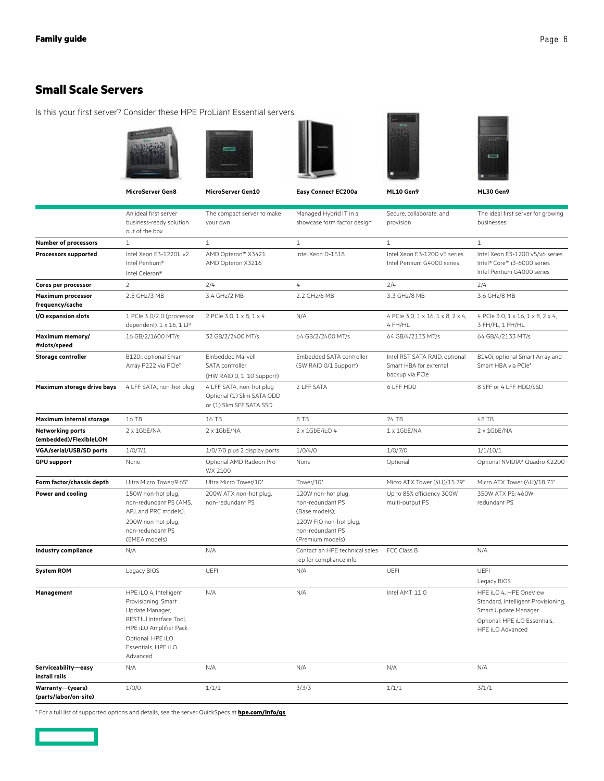### <span id="page-5-0"></span>**Small Scale Servers**

Is this your first server? Consider these HPE ProLiant Essential servers.











**MicroServer Gen8 MicroServer Gen10 Easy Connect EC200a ML10 Gen9 ML30 Gen9**

|                                             | An ideal first server<br>business-ready solution<br>out of the box                                                               | The compact server to make<br>your own                                             | Managed Hybrid IT in a<br>showcase form factor design                                                                      | Secure, collaborate, and<br>provision                                      | The ideal first server for growing<br>businesses                                                                                           |
|---------------------------------------------|----------------------------------------------------------------------------------------------------------------------------------|------------------------------------------------------------------------------------|----------------------------------------------------------------------------------------------------------------------------|----------------------------------------------------------------------------|--------------------------------------------------------------------------------------------------------------------------------------------|
| <b>Number of processors</b>                 | $\mathbf{1}$                                                                                                                     | $\mathbf{1}$                                                                       | $\mathbf{1}$                                                                                                               | $\mathbf{1}$                                                               | $\mathbf{1}$                                                                                                                               |
| <b>Processors supported</b>                 | Intel Xeon E3-1220L v2<br>Intel Pentium®<br>Intel Celeron®                                                                       | AMD Opteron™ X3421<br>AMD Opteron X3216                                            | Intel Xeon D-1518                                                                                                          | Intel Xeon E3-1200 v5 series<br>Intel Pentium G4000 series                 | Intel Xeon E3-1200 v5/v6 series<br>Intel® Core™ i3-6000 series<br>Intel Pentium G4000 series                                               |
| Cores per processor                         | $\overline{2}$                                                                                                                   | 2/4                                                                                | 4                                                                                                                          | 2/4                                                                        | 2/4                                                                                                                                        |
| <b>Maximum processor</b><br>frequency/cache | 2.5 GHz/3 MB                                                                                                                     | 3.4 GHz/2 MB                                                                       | 2.2 GHz/6 MB                                                                                                               | 3.3 GHz/8 MB                                                               | 3.6 GHz/8 MB                                                                                                                               |
| I/O expansion slots                         | 1 PCle 3.0/2.0 (processor<br>dependent), 1 x 16, 1 LP                                                                            | 2 PCIe 3.0, 1 x 8, 1 x 4                                                           | N/A                                                                                                                        | 4 PCIe 3.0, 1 x 16, 1 x 8, 2 x 4,<br>4 FH/HL                               | 4 PCle 3.0, 1 x 16, 1 x 8, 2 x 4,<br>3 FH/FL, 1 FH/HL                                                                                      |
| Maximum memory/<br>#slots/speed             | 16 GB/2/1600 MT/s                                                                                                                | 32 GB/2/2400 MT/s                                                                  | 64 GB/2/2400 MT/s                                                                                                          | 64 GB/4/2133 MT/s                                                          | 64 GB/4/2133 MT/s                                                                                                                          |
| <b>Storage controller</b>                   | B120i, optional Smart<br>Array P222 via PCle*                                                                                    | <b>Embedded Marvell</b><br>SATA controller<br>(HW RAID 0, 1, 10 Support)           | Embedded SATA controller<br>(SW RAID 0/1 Support)                                                                          | Intel RST SATA RAID, optional<br>Smart HBA for external<br>backup via PCIe | B140i, optional Smart Array and<br>Smart HBA via PCle*                                                                                     |
| Maximum storage drive bays                  | 4 LFF SATA, non-hot plug                                                                                                         | 4 LFF SATA, non-hot plug<br>Optional (1) Slim SATA ODD<br>or (1) Slim SFF SATA SSD | 2 LFF SATA                                                                                                                 | 6 LFF HDD                                                                  | 8 SFF or 4 LFF HDD/SSD                                                                                                                     |
| Maximum internal storage                    | 16 TB                                                                                                                            | 16 TB                                                                              | 8 TB                                                                                                                       | 24 TB                                                                      | 48 TB                                                                                                                                      |
| Networking ports<br>(embedded)/FlexibleLOM  | $2 \times 1$ GbE/NA                                                                                                              | $2 \times 1$ GbE/NA                                                                | $2 \times 1$ GbE/iLO 4                                                                                                     | 1 x 1GbE/NA                                                                | 2 x 1GbE/NA                                                                                                                                |
| <b>VGA/serial/USB/SD ports</b>              | 1/0/7/1                                                                                                                          | 1/0/7/0 plus 2 display ports                                                       | 1/0/4/0                                                                                                                    | 1/0/7/0                                                                    | 1/1/10/1                                                                                                                                   |
| <b>GPU support</b>                          | None                                                                                                                             | Optional AMD Radeon Pro<br>WX 2100                                                 | None                                                                                                                       | Optional                                                                   | Optional NVIDIA® Quadro K2200                                                                                                              |
| Form factor/chassis depth                   | Ultra Micro Tower/9.65"                                                                                                          | Ultra Micro Tower/10"                                                              | Tower/10"                                                                                                                  | Micro ATX Tower (4U)/15.79"                                                | Micro ATX Tower (4U)/18.71"                                                                                                                |
| Power and cooling                           | 150W non-hot plug,<br>non-redundant PS (AMS,<br>APJ, and PRC models);<br>200W non-hot plug,<br>non-redundant PS<br>(EMEA models) | 200W ATX non-hot plug,<br>non-redundant PS                                         | 120W non-hot plug,<br>non-redundant PS<br>(Base models);<br>120W FIO non-hot plug,<br>non-redundant PS<br>(Premium models) | Up to 85% efficiency 300W<br>multi-output PS                               | 350W ATX PS; 460W<br>redundant PS                                                                                                          |
| <b>Industry compliance</b>                  | N/A                                                                                                                              | N/A                                                                                | Contact an HPE technical sales<br>rep for compliance info                                                                  | FCC Class B                                                                | N/A                                                                                                                                        |
| <b>System ROM</b>                           | Legacy BIOS                                                                                                                      | UEFI                                                                               | N/A                                                                                                                        | UEFI                                                                       | UEFI<br>Legacy BIOS                                                                                                                        |
| Management                                  | HPE iLO 4, Intelligent<br>Provisioning, Smart<br>Update Manager,<br>RESTful Interface Tool,<br>HPE iLO Amplifier Pack            | N/A                                                                                | N/A                                                                                                                        | Intel AMT 11.0                                                             | HPE iLO 4, HPE OneView<br>Standard, Intelligent Provisioning,<br>Smart Update Manager<br>Optional: HPE iLO Essentials,<br>HPE iLO Advanced |
|                                             | Optional: HPE iLO<br>Essentials, HPE iLO<br>Advanced                                                                             |                                                                                    |                                                                                                                            |                                                                            |                                                                                                                                            |
| Serviceability-easy<br>install rails        | N/A                                                                                                                              | N/A                                                                                | N/A                                                                                                                        | N/A                                                                        | N/A                                                                                                                                        |
| Warranty-(years)<br>(parts/labor/on-site)   | 1/0/0                                                                                                                            | 1/1/1                                                                              | 3/3/3                                                                                                                      | 1/1/1                                                                      | 3/1/1                                                                                                                                      |

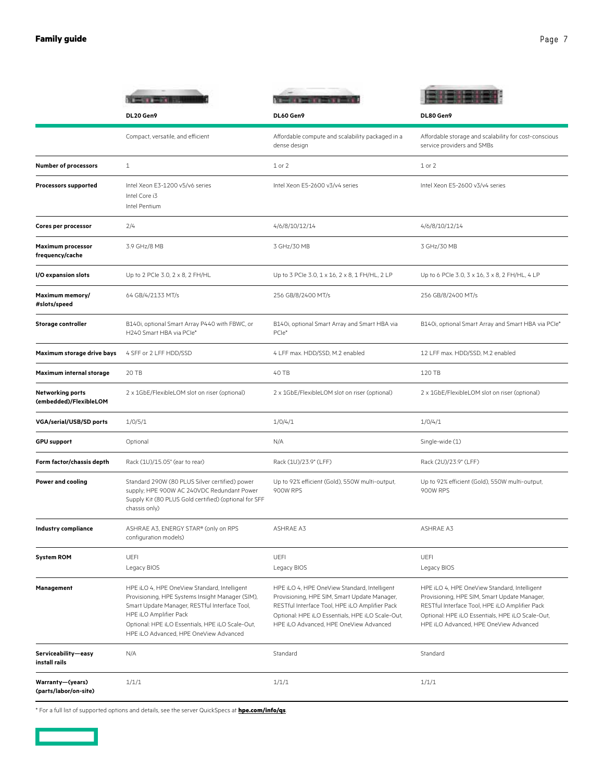|                                                   | DL20 Gen9                                                                                                                                                                                                                                                                 | DL60 Gen9                                                                                                                                                                                                                                    | DL80 Gen9                                                                                                                                                                                                                                    |
|---------------------------------------------------|---------------------------------------------------------------------------------------------------------------------------------------------------------------------------------------------------------------------------------------------------------------------------|----------------------------------------------------------------------------------------------------------------------------------------------------------------------------------------------------------------------------------------------|----------------------------------------------------------------------------------------------------------------------------------------------------------------------------------------------------------------------------------------------|
|                                                   | Compact, versatile, and efficient                                                                                                                                                                                                                                         | Affordable compute and scalability packaged in a<br>dense design                                                                                                                                                                             | Affordable storage and scalability for cost-conscious<br>service providers and SMBs                                                                                                                                                          |
| <b>Number of processors</b>                       | $\mathbf{1}$                                                                                                                                                                                                                                                              | $1$ or $2$                                                                                                                                                                                                                                   | $1$ or $2$                                                                                                                                                                                                                                   |
| <b>Processors supported</b>                       | Intel Xeon E3-1200 v5/v6 series<br>Intel Core i3<br>Intel Pentium                                                                                                                                                                                                         | Intel Xeon E5-2600 v3/v4 series                                                                                                                                                                                                              | Intel Xeon E5-2600 v3/v4 series                                                                                                                                                                                                              |
| Cores per processor                               | 2/4                                                                                                                                                                                                                                                                       | 4/6/8/10/12/14                                                                                                                                                                                                                               | 4/6/8/10/12/14                                                                                                                                                                                                                               |
| <b>Maximum processor</b><br>frequency/cache       | 3.9 GHz/8 MB                                                                                                                                                                                                                                                              | 3 GHz/30 MB                                                                                                                                                                                                                                  | 3 GHz/30 MB                                                                                                                                                                                                                                  |
| I/O expansion slots                               | Up to 2 PCIe 3.0, 2 x 8, 2 FH/HL                                                                                                                                                                                                                                          | Up to 3 PCIe 3.0, 1 x 16, 2 x 8, 1 FH/HL, 2 LP                                                                                                                                                                                               | Up to 6 PCle 3.0, 3 x 16, 3 x 8, 2 FH/HL, 4 LP                                                                                                                                                                                               |
| Maximum memory/<br>#slots/speed                   | 64 GB/4/2133 MT/s                                                                                                                                                                                                                                                         | 256 GB/8/2400 MT/s                                                                                                                                                                                                                           | 256 GB/8/2400 MT/s                                                                                                                                                                                                                           |
| <b>Storage controller</b>                         | B140i, optional Smart Array P440 with FBWC, or<br>H240 Smart HBA via PCle*                                                                                                                                                                                                | B140i, optional Smart Array and Smart HBA via<br>PCle*                                                                                                                                                                                       | B140i, optional Smart Array and Smart HBA via PCle*                                                                                                                                                                                          |
| Maximum storage drive bays                        | 4 SFF or 2 LFF HDD/SSD                                                                                                                                                                                                                                                    | 4 LFF max. HDD/SSD, M.2 enabled                                                                                                                                                                                                              | 12 LFF max. HDD/SSD, M.2 enabled                                                                                                                                                                                                             |
| Maximum internal storage                          | 20 TB                                                                                                                                                                                                                                                                     | 40 TB                                                                                                                                                                                                                                        | 120 TB                                                                                                                                                                                                                                       |
| <b>Networking ports</b><br>(embedded)/FlexibleLOM | 2 x 1GbE/FlexibleLOM slot on riser (optional)                                                                                                                                                                                                                             | 2 x 1GbE/FlexibleLOM slot on riser (optional)                                                                                                                                                                                                | 2 x 1GbE/FlexibleLOM slot on riser (optional)                                                                                                                                                                                                |
| VGA/serial/USB/SD ports                           | 1/0/5/1                                                                                                                                                                                                                                                                   | 1/0/4/1                                                                                                                                                                                                                                      | 1/0/4/1                                                                                                                                                                                                                                      |
| <b>GPU support</b>                                | Optional                                                                                                                                                                                                                                                                  | N/A                                                                                                                                                                                                                                          | Single-wide (1)                                                                                                                                                                                                                              |
| Form factor/chassis depth                         | Rack (1U)/15.05" (ear to rear)                                                                                                                                                                                                                                            | Rack (1U)/23.9" (LFF)                                                                                                                                                                                                                        | Rack (2U)/23.9" (LFF)                                                                                                                                                                                                                        |
| <b>Power and cooling</b>                          | Standard 290W (80 PLUS Silver certified) power<br>supply; HPE 900W AC 240VDC Redundant Power<br>Supply Kit (80 PLUS Gold certified) (optional for SFF<br>chassis only)                                                                                                    | Up to 92% efficient (Gold), 550W multi-output,<br>900W RPS                                                                                                                                                                                   | Up to 92% efficient (Gold), 550W multi-output,<br>900W RPS                                                                                                                                                                                   |
| Industry compliance                               | ASHRAE A3, ENERGY STAR® (only on RPS<br>configuration models)                                                                                                                                                                                                             | ASHRAE A3                                                                                                                                                                                                                                    | ASHRAE A3                                                                                                                                                                                                                                    |
| <b>System ROM</b>                                 | UEFI<br>Legacy BIOS                                                                                                                                                                                                                                                       | UEFI<br>Legacy BIOS                                                                                                                                                                                                                          | UEFI<br>Legacy BIOS                                                                                                                                                                                                                          |
| Management                                        | HPE iLO 4, HPE OneView Standard, Intelligent<br>Provisioning, HPE Systems Insight Manager (SIM),<br>Smart Update Manager, RESTful Interface Tool,<br>HPE iLO Amplifier Pack<br>Optional: HPE iLO Essentials, HPE iLO Scale-Out,<br>HPE iLO Advanced, HPE OneView Advanced | HPE iLO 4, HPE OneView Standard, Intelligent<br>Provisioning, HPE SIM, Smart Update Manager,<br>RESTful Interface Tool, HPE iLO Amplifier Pack<br>Optional: HPE iLO Essentials, HPE iLO Scale-Out,<br>HPE iLO Advanced, HPE OneView Advanced | HPE iLO 4, HPE OneView Standard, Intelligent<br>Provisioning, HPE SIM, Smart Update Manager,<br>RESTful Interface Tool, HPE iLO Amplifier Pack<br>Optional: HPE iLO Essentials, HPE iLO Scale-Out,<br>HPE iLO Advanced, HPE OneView Advanced |
| Serviceability-easy<br>install rails              | N/A                                                                                                                                                                                                                                                                       | Standard                                                                                                                                                                                                                                     | Standard                                                                                                                                                                                                                                     |
| Warranty-(years)<br>(parts/labor/on-site)         | 1/1/1                                                                                                                                                                                                                                                                     | 1/1/1                                                                                                                                                                                                                                        | 1/1/1                                                                                                                                                                                                                                        |

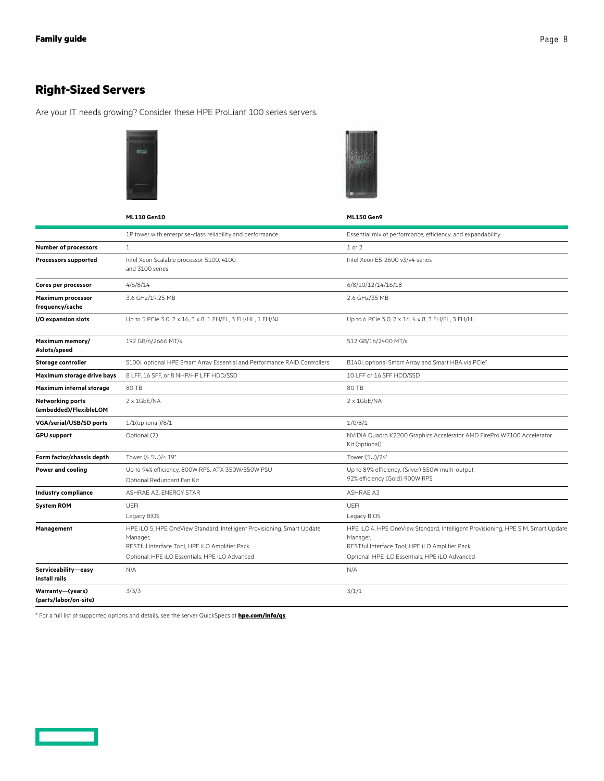## <span id="page-7-0"></span>**Right-Sized Servers**

Are your IT needs growing? Consider these HPE ProLiant 100 series servers.





|                                                   | <b>ML110 Gen10</b>                                                                                                                                                                      | <b>ML150 Gen9</b>                                                                                                                                                                                |
|---------------------------------------------------|-----------------------------------------------------------------------------------------------------------------------------------------------------------------------------------------|--------------------------------------------------------------------------------------------------------------------------------------------------------------------------------------------------|
|                                                   | 1P tower with enterprise-class reliability and performance                                                                                                                              | Essential mix of performance, efficiency, and expandability                                                                                                                                      |
| <b>Number of processors</b>                       | $\mathbf{1}$                                                                                                                                                                            | $1$ or $2$                                                                                                                                                                                       |
| <b>Processors supported</b>                       | Intel Xeon Scalable processor 5100, 4100,<br>and 3100 series                                                                                                                            | Intel Xeon E5-2600 v3/v4 series                                                                                                                                                                  |
| Cores per processor                               | 4/6/8/14                                                                                                                                                                                | 6/8/10/12/14/16/18                                                                                                                                                                               |
| <b>Maximum processor</b><br>frequency/cache       | 3.6 GHz/19.25 MB                                                                                                                                                                        | 2.6 GHz/35 MB                                                                                                                                                                                    |
| I/O expansion slots                               | Up to 5 PCle 3.0, 2 x 16, 3 x 8, 1 FH/FL, 3 FH/HL, 1 FH/%L                                                                                                                              | Up to 6 PCle 3.0, 2 x 16, 4 x 8, 3 FH/FL, 3 FH/HL                                                                                                                                                |
| Maximum memory/<br>#slots/speed                   | 192 GB/6/2666 MT/s                                                                                                                                                                      | 512 GB/16/2400 MT/s                                                                                                                                                                              |
| <b>Storage controller</b>                         | S100i, optional HPE Smart Array Essential and Performance RAID Controllers                                                                                                              | B140i, optional Smart Array and Smart HBA via PCIe*                                                                                                                                              |
| Maximum storage drive bays                        | 8 LFF, 16 SFF, or 8 NHP/HP LFF HDD/SSD                                                                                                                                                  | 10 LFF or 16 SFF HDD/SSD                                                                                                                                                                         |
| Maximum internal storage                          | 80 TB                                                                                                                                                                                   | 80 TB                                                                                                                                                                                            |
| <b>Networking ports</b><br>(embedded)/FlexibleLOM | $2 \times 1$ GbE/NA                                                                                                                                                                     | $2 \times 1$ GbE/NA                                                                                                                                                                              |
| <b>VGA/serial/USB/SD ports</b>                    | 1/1(optional)/8/1                                                                                                                                                                       | 1/0/8/1                                                                                                                                                                                          |
| <b>GPU support</b>                                | Optional (2)                                                                                                                                                                            | NVIDIA Quadro K2200 Graphics Accelerator AMD FirePro W7100 Accelerator<br>Kit (optional)                                                                                                         |
| Form factor/chassis depth                         | Tower (4.5U)/< 19"                                                                                                                                                                      | Tower (5U)/24"                                                                                                                                                                                   |
| <b>Power and cooling</b>                          | Up to 94% efficiency. 800W RPS, ATX 350W/550W PSU<br>Optional Redundant Fan Kit                                                                                                         | Up to 89% efficiency. (Silver) 550W multi-output,<br>92% efficiency (Gold) 900W RPS                                                                                                              |
| <b>Industry compliance</b>                        | ASHRAE A3, ENERGY STAR                                                                                                                                                                  | ASHRAE A3                                                                                                                                                                                        |
| <b>System ROM</b>                                 | <b>UEFI</b>                                                                                                                                                                             | UEFI                                                                                                                                                                                             |
|                                                   | Legacy BIOS                                                                                                                                                                             | Legacy BIOS                                                                                                                                                                                      |
| Management                                        | HPE iLO 5, HPE OneView Standard, Intelligent Provisioning, Smart Update<br>Manager,<br>RESTful Interface Tool, HPE iLO Amplifier Pack<br>Optional: HPE iLO Essentials, HPE iLO Advanced | HPE iLO 4, HPE OneView Standard, Intelligent Provisioning, HPE SIM, Smart Update<br>Manager,<br>RESTful Interface Tool, HPE iLO Amplifier Pack<br>Optional: HPE iLO Essentials, HPE iLO Advanced |
| Serviceability-easy<br>install rails              | N/A                                                                                                                                                                                     | N/A                                                                                                                                                                                              |
| Warranty—(years)<br>(parts/labor/on-site)         | 3/3/3                                                                                                                                                                                   | 3/1/1                                                                                                                                                                                            |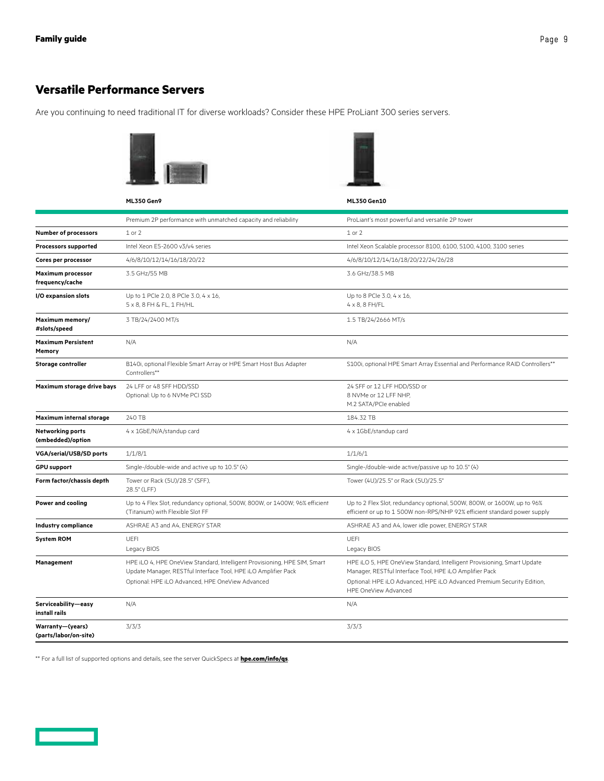### <span id="page-8-0"></span>**Versatile Performance Servers**

Are you continuing to need traditional IT for diverse workloads? Consider these HPE ProLiant 300 series servers.

**ML350 Gen9 ML350 Gen10**



|                                             | Premium 2P performance with unmatched capacity and reliability                                                                                                                                  | ProLiant's most powerful and versatile 2P tower                                                                                                                                                                                      |
|---------------------------------------------|-------------------------------------------------------------------------------------------------------------------------------------------------------------------------------------------------|--------------------------------------------------------------------------------------------------------------------------------------------------------------------------------------------------------------------------------------|
| <b>Number of processors</b>                 | $1$ or $2$                                                                                                                                                                                      | $1$ or $2$                                                                                                                                                                                                                           |
| <b>Processors supported</b>                 | Intel Xeon E5-2600 v3/v4 series                                                                                                                                                                 | Intel Xeon Scalable processor 8100, 6100, 5100, 4100, 3100 series                                                                                                                                                                    |
| Cores per processor                         | 4/6/8/10/12/14/16/18/20/22                                                                                                                                                                      | 4/6/8/10/12/14/16/18/20/22/24/26/28                                                                                                                                                                                                  |
| <b>Maximum processor</b><br>frequency/cache | 3.5 GHz/55 MB                                                                                                                                                                                   | 3.6 GHz/38.5 MB                                                                                                                                                                                                                      |
| I/O expansion slots                         | Up to 1 PCle 2.0, 8 PCle 3.0, 4 x 16,<br>$5 \times 8$ , 8 FH & FL, 1 FH/HL                                                                                                                      | Up to 8 PCIe 3.0, 4 x 16,<br>$4 \times 8$ , 8 FH/FL                                                                                                                                                                                  |
| Maximum memory/<br>#slots/speed             | 3 TB/24/2400 MT/s                                                                                                                                                                               | 1.5 TB/24/2666 MT/s                                                                                                                                                                                                                  |
| <b>Maximum Persistent</b><br>Memory         | N/A                                                                                                                                                                                             | N/A                                                                                                                                                                                                                                  |
| <b>Storage controller</b>                   | B140i, optional Flexible Smart Array or HPE Smart Host Bus Adapter<br>Controllers**                                                                                                             | S100i, optional HPE Smart Array Essential and Performance RAID Controllers**                                                                                                                                                         |
| Maximum storage drive bays                  | 24 LFF or 48 SFF HDD/SSD<br>Optional: Up to 6 NVMe PCI SSD                                                                                                                                      | 24 SFF or 12 LFF HDD/SSD or<br>8 NVMe or 12 LFF NHP.<br>M.2 SATA/PCIe enabled                                                                                                                                                        |
| Maximum internal storage                    | 240 TB                                                                                                                                                                                          | 184.32 TB                                                                                                                                                                                                                            |
| Networking ports<br>(embedded)/option       | 4 x 1GbE/N/A/standup card                                                                                                                                                                       | 4 x 1GbE/standup card                                                                                                                                                                                                                |
| <b>VGA/serial/USB/SD ports</b>              | 1/1/8/1                                                                                                                                                                                         | 1/1/6/1                                                                                                                                                                                                                              |
| <b>GPU support</b>                          | Single-/double-wide and active up to 10.5" (4)                                                                                                                                                  | Single-/double-wide active/passive up to 10.5" (4)                                                                                                                                                                                   |
| Form factor/chassis depth                   | Tower or Rack (5U)/28.5" (SFF),<br>28.5" (LFF)                                                                                                                                                  | Tower (4U)/25.5" or Rack (5U)/25.5"                                                                                                                                                                                                  |
| Power and cooling                           | Up to 4 Flex Slot, redundancy optional, 500W, 800W, or 1400W; 96% efficient<br>(Titanium) with Flexible Slot FF                                                                                 | Up to 2 Flex Slot, redundancy optional, 500W, 800W, or 1600W, up to 96%<br>efficient or up to 1 500W non-RPS/NHP 92% efficient standard power supply                                                                                 |
| <b>Industry compliance</b>                  | ASHRAE A3 and A4, ENERGY STAR                                                                                                                                                                   | ASHRAE A3 and A4, lower idle power, ENERGY STAR                                                                                                                                                                                      |
| <b>System ROM</b>                           | <b>UEFI</b><br>Legacy BIOS                                                                                                                                                                      | <b>UEFI</b><br>Legacy BIOS                                                                                                                                                                                                           |
| Management                                  | HPE iLO 4, HPE OneView Standard, Intelligent Provisioning, HPE SIM, Smart<br>Update Manager, RESTful Interface Tool, HPE iLO Amplifier Pack<br>Optional: HPE iLO Advanced, HPE OneView Advanced | HPE iLO 5, HPE OneView Standard, Intelligent Provisioning, Smart Update<br>Manager, RESTful Interface Tool, HPE iLO Amplifier Pack<br>Optional: HPE iLO Advanced, HPE iLO Advanced Premium Security Edition,<br>HPE OneView Advanced |
| Serviceability-easy<br>install rails        | N/A                                                                                                                                                                                             | N/A                                                                                                                                                                                                                                  |
| Warranty-(years)<br>(parts/labor/on-site)   | 3/3/3                                                                                                                                                                                           | 3/3/3                                                                                                                                                                                                                                |

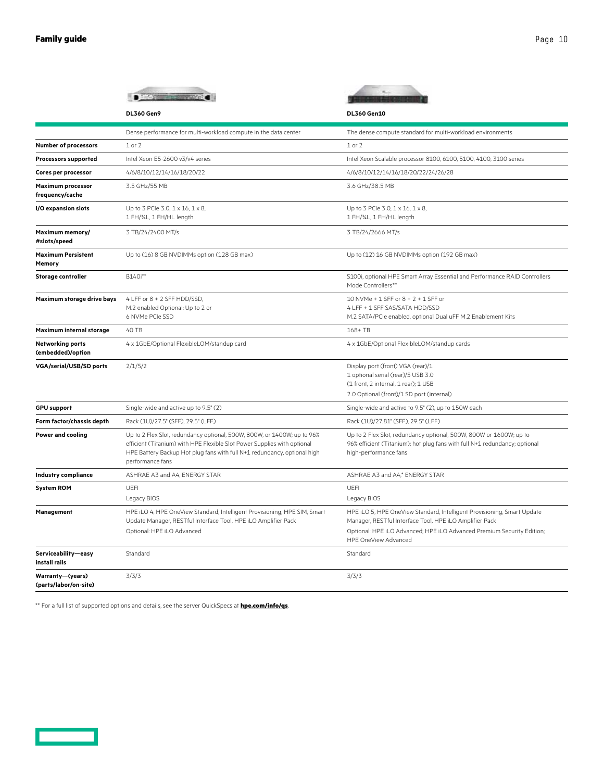| ane | N |
|-----|---|
|     |   |

|                                              | <b>DL360 Gen9</b>                                                                                                                                                                                                                                   | DL360 Gen10                                                                                                                                                                                                                          |  |
|----------------------------------------------|-----------------------------------------------------------------------------------------------------------------------------------------------------------------------------------------------------------------------------------------------------|--------------------------------------------------------------------------------------------------------------------------------------------------------------------------------------------------------------------------------------|--|
|                                              | Dense performance for multi-workload compute in the data center                                                                                                                                                                                     | The dense compute standard for multi-workload environments                                                                                                                                                                           |  |
| <b>Number of processors</b>                  | $1$ or $2$                                                                                                                                                                                                                                          | $1$ or $2$                                                                                                                                                                                                                           |  |
| Processors supported                         | Intel Xeon E5-2600 v3/v4 series                                                                                                                                                                                                                     | Intel Xeon Scalable processor 8100, 6100, 5100, 4100, 3100 series                                                                                                                                                                    |  |
| Cores per processor                          | 4/6/8/10/12/14/16/18/20/22                                                                                                                                                                                                                          | 4/6/8/10/12/14/16/18/20/22/24/26/28                                                                                                                                                                                                  |  |
| <b>Maximum processor</b><br>frequency/cache  | 3.5 GHz/55 MB                                                                                                                                                                                                                                       | 3.6 GHz/38.5 MB                                                                                                                                                                                                                      |  |
| I/O expansion slots                          | Up to 3 PCIe 3.0, 1 x 16, 1 x 8,<br>1 FH/%L, 1 FH/HL length                                                                                                                                                                                         | Up to 3 PCle 3.0, 1 x 16, 1 x 8,<br>1 FH/%L, 1 FH/HL length                                                                                                                                                                          |  |
| Maximum memory/<br>#slots/speed              | 3 TB/24/2400 MT/s                                                                                                                                                                                                                                   | 3 TB/24/2666 MT/s                                                                                                                                                                                                                    |  |
| <b>Maximum Persistent</b><br>Memory          | Up to (16) 8 GB NVDIMMs option (128 GB max)                                                                                                                                                                                                         | Up to (12) 16 GB NVDIMMs option (192 GB max)                                                                                                                                                                                         |  |
| <b>Storage controller</b>                    | B140i**                                                                                                                                                                                                                                             | S100i, optional HPE Smart Array Essential and Performance RAID Controllers<br>Mode Controllers**                                                                                                                                     |  |
| Maximum storage drive bays                   | 4 LFF or 8 + 2 SFF HDD/SSD,<br>M.2 enabled Optional: Up to 2 or<br>6 NVMe PCIe SSD                                                                                                                                                                  | 10 NVMe + 1 SFF or 8 + 2 + 1 SFF or<br>4 LFF + 1 SFF SAS/SATA HDD/SSD<br>M.2 SATA/PCIe enabled, optional Dual uFF M.2 Enablement Kits                                                                                                |  |
| Maximum internal storage                     | 40 TB                                                                                                                                                                                                                                               | 168+TB                                                                                                                                                                                                                               |  |
| <b>Networking ports</b><br>(embedded)/option | 4 x 1GbE/Optional FlexibleLOM/standup card                                                                                                                                                                                                          | 4 x 1GbE/Optional FlexibleLOM/standup cards                                                                                                                                                                                          |  |
| <b>VGA/serial/USB/SD ports</b>               | 2/1/5/2                                                                                                                                                                                                                                             | Display port (front) VGA (rear)/1<br>1 optional serial (rear)/5 USB 3.0<br>(1 front, 2 internal, 1 rear); 1 USB<br>2.0 Optional (front)/1 SD port (internal)                                                                         |  |
| <b>GPU</b> support                           | Single-wide and active up to 9.5" (2)                                                                                                                                                                                                               | Single-wide and active to 9.5" (2), up to 150W each                                                                                                                                                                                  |  |
| Form factor/chassis depth                    | Rack (1U)/27.5" (SFF), 29.5" (LFF)                                                                                                                                                                                                                  | Rack (1U)/27.81" (SFF), 29.5" (LFF)                                                                                                                                                                                                  |  |
| <b>Power and cooling</b>                     | Up to 2 Flex Slot, redundancy optional, 500W, 800W, or 1400W; up to 96%<br>efficient (Titanium) with HPE Flexible Slot Power Supplies with optional<br>HPE Battery Backup Hot plug fans with full N+1 redundancy, optional high<br>performance fans | Up to 2 Flex Slot, redundancy optional, 500W, 800W or 1600W; up to<br>96% efficient (Titanium); hot plug fans with full N+1 redundancy; optional<br>high-performance fans                                                            |  |
| <b>Industry compliance</b>                   | ASHRAE A3 and A4, ENERGY STAR                                                                                                                                                                                                                       | ASHRAE A3 and A4,* ENERGY STAR                                                                                                                                                                                                       |  |
| <b>System ROM</b>                            | <b>UEFI</b><br>Legacy BIOS                                                                                                                                                                                                                          | UEFI<br>Legacy BIOS                                                                                                                                                                                                                  |  |
| Management                                   | HPE iLO 4, HPE OneView Standard, Intelligent Provisioning, HPE SIM, Smart<br>Update Manager, RESTful Interface Tool, HPE iLO Amplifier Pack<br>Optional: HPE iLO Advanced                                                                           | HPE iLO 5, HPE OneView Standard, Intelligent Provisioning, Smart Update<br>Manager, RESTful Interface Tool, HPE iLO Amplifier Pack<br>Optional: HPE iLO Advanced; HPE iLO Advanced Premium Security Edition;<br>HPE OneView Advanced |  |
| Serviceability-easy<br>install rails         | Standard                                                                                                                                                                                                                                            | Standard                                                                                                                                                                                                                             |  |
| Warranty-(years)<br>(parts/labor/on-site)    | 3/3/3                                                                                                                                                                                                                                               | 3/3/3                                                                                                                                                                                                                                |  |

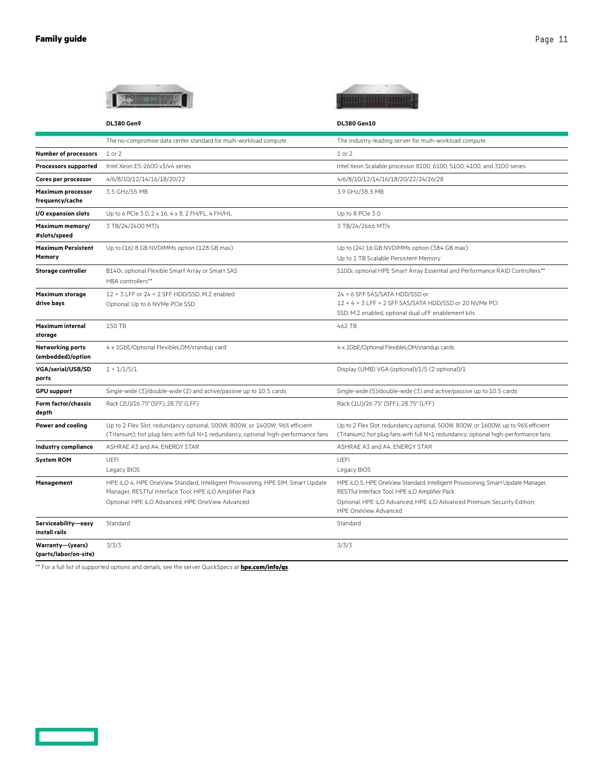and the control of the con-

|                                              | an an A                                                                                                                                                           | <b>DL380 Gen10</b>                                                                                                                                                      |  |
|----------------------------------------------|-------------------------------------------------------------------------------------------------------------------------------------------------------------------|-------------------------------------------------------------------------------------------------------------------------------------------------------------------------|--|
|                                              | <b>DL380 Gen9</b>                                                                                                                                                 |                                                                                                                                                                         |  |
|                                              | The no-compromise data center standard for multi-workload compute                                                                                                 | The industry-leading server for multi-workload compute                                                                                                                  |  |
| <b>Number of processors</b>                  | $1$ or $2$                                                                                                                                                        | $1$ or $2$                                                                                                                                                              |  |
| <b>Processors supported</b>                  | Intel Xeon E5-2600 v3/v4 series                                                                                                                                   | Intel Xeon Scalable processor 8100, 6100, 5100, 4100, and 3100 series                                                                                                   |  |
| Cores per processor                          | 4/6/8/10/12/14/16/18/20/22                                                                                                                                        | 4/6/8/10/12/14/16/18/20/22/24/26/28                                                                                                                                     |  |
| Maximum processor<br>frequency/cache         | 3.5 GHz/55 MB                                                                                                                                                     | 3.9 GHz/38.5 MB                                                                                                                                                         |  |
| I/O expansion slots                          | Up to 6 PCIe 3.0, 2 x 16, 4 x 8, 2 FH/FL, 4 FH/HL                                                                                                                 | Up to 8 PCIe 3.0                                                                                                                                                        |  |
| Maximum memory/<br>#slots/speed              | 3 TB/24/2400 MT/s                                                                                                                                                 | 3 TB/24/2666 MT/s                                                                                                                                                       |  |
| <b>Maximum Persistent</b><br>Memory          | Up to (16) 8 GB NVDIMMs option (128 GB max)                                                                                                                       | Up to (24) 16 GB NVDIMMs option (384 GB max)<br>Up to 1 TB Scalable Persistent Memory                                                                                   |  |
| <b>Storage controller</b>                    | B140i, optional Flexible Smart Array or Smart SAS<br>HBA controllers**                                                                                            | S100i, optional HPE Smart Array Essential and Performance RAID Controllers**                                                                                            |  |
| Maximum storage                              | 12 + 3 LFF or 24 + 2 SFF HDD/SSD, M.2 enabled                                                                                                                     | 24 + 6 SFF SAS/SATA HDD/SSD or                                                                                                                                          |  |
| drive bays                                   | Optional: Up to 6 NVMe PCIe SSD                                                                                                                                   | 12 + 4 + 3 LFF + 2 SFF SAS/SATA HDD/SSD or 20 NVMe PCI                                                                                                                  |  |
|                                              |                                                                                                                                                                   | SSD, M.2 enabled, optional dual uFF enablement kits                                                                                                                     |  |
| <b>Maximum internal</b><br>storage           | 150 TB                                                                                                                                                            | 462 TB                                                                                                                                                                  |  |
| <b>Networking ports</b><br>(embedded)/option | 4 x 1GbE/Optional FlexibleLOM/standup card                                                                                                                        | 4 x 1GbE/Optional FlexibleLOM/standup cards                                                                                                                             |  |
| <b>VGA/serial/USB/SD</b><br>ports            | $1 + 1/1/5/1$                                                                                                                                                     | Display (UMB) VGA (optional)/1/5 (2 optional)/1                                                                                                                         |  |
| <b>GPU support</b>                           | Single-wide (3)/double-wide (2) and active/passive up to 10.5 cards                                                                                               | Single-wide (5)/double-wide (3) and active/passive up to 10.5 cards                                                                                                     |  |
| Form factor/chassis<br>depth                 | Rack (2U)/26.75" (SFF), 28.75" (LFF)                                                                                                                              | Rack (1U)/26.75" (SFF), 28.75" (LFF)                                                                                                                                    |  |
| Power and cooling                            | Up to 2 Flex Slot, redundancy optional, 500W, 800W, or 1400W; 96% efficient<br>(Titanium); hot plug fans with full N+1 redundancy, optional high-performance fans | Up to 2 Flex Slot, redundancy optional, 500W, 800W, or 1600W; up to 96% efficient<br>(Titanium); hot plug fans with full N+1 redundancy; optional high-performance fans |  |
| Industry compliance                          | ASHRAE A3 and A4, ENERGY STAR                                                                                                                                     | ASHRAE A3 and A4, ENERGY STAR                                                                                                                                           |  |
| <b>System ROM</b>                            | UEFI                                                                                                                                                              | UEFI                                                                                                                                                                    |  |
|                                              | Legacy BIOS                                                                                                                                                       | Legacy BIOS                                                                                                                                                             |  |
| Management                                   | HPE iLO 4, HPE OneView Standard, Intelligent Provisioning, HPE SIM, Smart Update<br>Manager, RESTful Interface Tool, HPE iLO Amplifier Pack                       | HPE iLO 5, HPE OneView Standard, Intelligent Provisioning, Smart Update Manager,<br>RESTful Interface Tool, HPE iLO Amplifier Pack                                      |  |
|                                              | Optional: HPE iLO Advanced, HPE OneView Advanced                                                                                                                  | Optional: HPE iLO Advanced; HPE iLO Advanced Premium Security Edition;<br><b>HPE OneView Advanced</b>                                                                   |  |
| Serviceability-easy<br>install rails         | Standard                                                                                                                                                          | Standard                                                                                                                                                                |  |
| Warranty-(years)<br>(parts/labor/on-site)    | 3/3/3                                                                                                                                                             | 3/3/3                                                                                                                                                                   |  |

and the control of the con-

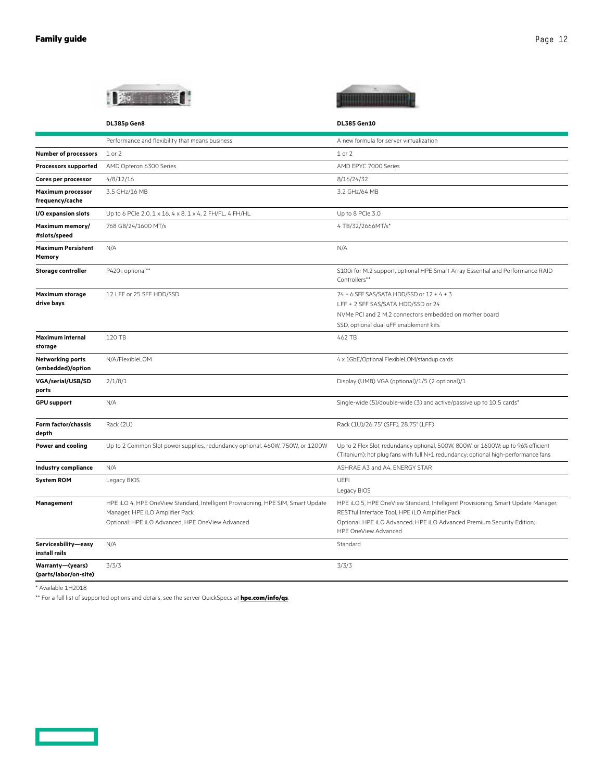| <b><i>A R. A. Married A. Millerson</i></b> |              |  |
|--------------------------------------------|--------------|--|
|                                            |              |  |
|                                            | ---<br>_____ |  |
|                                            |              |  |
|                                            |              |  |



|                                              | DL385p Gen8                                                                                                         | <b>DL385 Gen10</b>                                                                                                                                                                  |
|----------------------------------------------|---------------------------------------------------------------------------------------------------------------------|-------------------------------------------------------------------------------------------------------------------------------------------------------------------------------------|
|                                              | Performance and flexibility that means business                                                                     | A new formula for server virtualization                                                                                                                                             |
| <b>Number of processors</b>                  | $1$ or $2$                                                                                                          | 1 or 2                                                                                                                                                                              |
| <b>Processors supported</b>                  | AMD Opteron 6300 Series                                                                                             | AMD EPYC 7000 Series                                                                                                                                                                |
| Cores per processor                          | 4/8/12/16                                                                                                           | 8/16/24/32                                                                                                                                                                          |
| <b>Maximum processor</b><br>frequency/cache  | 3.5 GHz/16 MB                                                                                                       | 3.2 GHz/64 MB                                                                                                                                                                       |
| I/O expansion slots                          | Up to 6 PCIe 2.0, 1 x 16, 4 x 8, 1 x 4, 2 FH/FL, 4 FH/HL                                                            | Up to 8 PCIe 3.0                                                                                                                                                                    |
| Maximum memory/<br>#slots/speed              | 768 GB/24/1600 MT/s                                                                                                 | 4 TB/32/2666MT/s*                                                                                                                                                                   |
| <b>Maximum Persistent</b><br>Memory          | N/A                                                                                                                 | N/A                                                                                                                                                                                 |
| <b>Storage controller</b>                    | P420i, optional**                                                                                                   | S100i for M.2 support, optional HPE Smart Array Essential and Performance RAID<br>Controllers**                                                                                     |
| <b>Maximum storage</b><br>drive bays         | 12 LFF or 25 SFF HDD/SSD                                                                                            | 24 + 6 SFF SAS/SATA HDD/SSD or 12 + 4 + 3<br>LFF + 2 SFF SAS/SATA HDD/SSD or 24<br>NVMe PCI and 2 M.2 connectors embedded on mother board<br>SSD, optional dual uFF enablement kits |
| <b>Maximum internal</b><br>storage           | 120 TB                                                                                                              | 462 TB                                                                                                                                                                              |
| <b>Networking ports</b><br>(embedded)/option | N/A/FlexibleLOM                                                                                                     | 4 x 1GbE/Optional FlexibleLOM/standup cards                                                                                                                                         |
| VGA/serial/USB/SD<br>ports                   | 2/1/8/1                                                                                                             | Display (UMB) VGA (optional)/1/5 (2 optional)/1                                                                                                                                     |
| <b>GPU support</b>                           | N/A                                                                                                                 | Single-wide (5)/double-wide (3) and active/passive up to 10.5 cards*                                                                                                                |
| Form factor/chassis<br>depth                 | Rack (2U)                                                                                                           | Rack (1U)/26.75" (SFF), 28.75" (LFF)                                                                                                                                                |
| <b>Power and cooling</b>                     | Up to 2 Common Slot power supplies, redundancy optional, 460W, 750W, or 1200W                                       | Up to 2 Flex Slot, redundancy optional, 500W, 800W, or 1600W; up to 96% efficient<br>(Titanium); hot plug fans with full N+1 redundancy; optional high-performance fans             |
| <b>Industry compliance</b>                   | N/A                                                                                                                 | ASHRAE A3 and A4, ENERGY STAR                                                                                                                                                       |
| <b>System ROM</b>                            | Legacy BIOS                                                                                                         | UEFI<br>Legacy BIOS                                                                                                                                                                 |
| Management                                   | HPE iLO 4, HPE OneView Standard, Intelligent Provisioning, HPE SIM, Smart Update<br>Manager, HPE iLO Amplifier Pack | HPE iLO 5, HPE OneView Standard, Intelligent Provisioning, Smart Update Manager,<br>RESTful Interface Tool, HPE iLO Amplifier Pack                                                  |
|                                              | Optional: HPE iLO Advanced, HPE OneView Advanced                                                                    | Optional: HPE iLO Advanced; HPE iLO Advanced Premium Security Edition;<br>HPE OneView Advanced                                                                                      |
| Serviceability-easy<br>install rails         | N/A                                                                                                                 | Standard                                                                                                                                                                            |
| Warranty-(years)<br>(parts/labor/on-site)    | 3/3/3                                                                                                               | 3/3/3                                                                                                                                                                               |

\* Available 1H2018

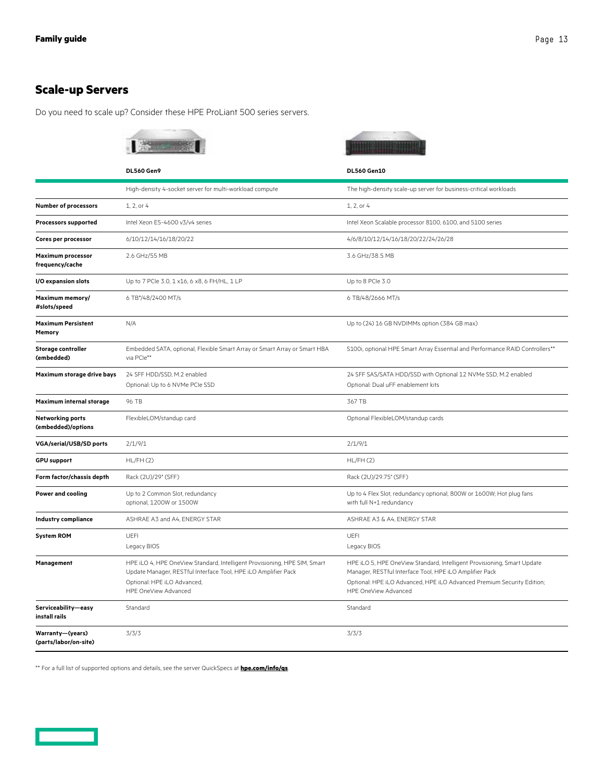### <span id="page-12-0"></span>**Scale-up Servers**

Do you need to scale up? Consider these HPE ProLiant 500 series servers.

|                                               | <b>Brown 18</b>                                                                                                                                                                                    |                                                                                                                                                                                                                                      |
|-----------------------------------------------|----------------------------------------------------------------------------------------------------------------------------------------------------------------------------------------------------|--------------------------------------------------------------------------------------------------------------------------------------------------------------------------------------------------------------------------------------|
|                                               | <b>DL560 Gen9</b>                                                                                                                                                                                  | <b>DL560 Gen10</b>                                                                                                                                                                                                                   |
|                                               | High-density 4-socket server for multi-workload compute                                                                                                                                            | The high-density scale-up server for business-critical workloads                                                                                                                                                                     |
| <b>Number of processors</b>                   | 1, 2, or 4                                                                                                                                                                                         | 1, 2, or 4                                                                                                                                                                                                                           |
| <b>Processors supported</b>                   | Intel Xeon E5-4600 v3/v4 series                                                                                                                                                                    | Intel Xeon Scalable processor 8100, 6100, and 5100 series                                                                                                                                                                            |
| Cores per processor                           | 6/10/12/14/16/18/20/22                                                                                                                                                                             | 4/6/8/10/12/14/16/18/20/22/24/26/28                                                                                                                                                                                                  |
| <b>Maximum processor</b><br>frequency/cache   | 2.6 GHz/55 MB                                                                                                                                                                                      | 3.6 GHz/38.5 MB                                                                                                                                                                                                                      |
| I/O expansion slots                           | Up to 7 PCIe 3.0, 1 x16, 6 x8, 6 FH/HL, 1 LP                                                                                                                                                       | Up to 8 PCIe 3.0                                                                                                                                                                                                                     |
| Maximum memory/<br>#slots/speed               | 6 TB*/48/2400 MT/s                                                                                                                                                                                 | 6 TB/48/2666 MT/s                                                                                                                                                                                                                    |
| <b>Maximum Persistent</b><br>Memory           | N/A                                                                                                                                                                                                | Up to (24) 16 GB NVDIMMs option (384 GB max)                                                                                                                                                                                         |
| <b>Storage controller</b><br>(embedded)       | Embedded SATA, optional, Flexible Smart Array or Smart Array or Smart HBA<br>via PCle**                                                                                                            | S100i, optional HPE Smart Array Essential and Performance RAID Controllers**                                                                                                                                                         |
| Maximum storage drive bays                    | 24 SFF HDD/SSD, M.2 enabled<br>Optional: Up to 6 NVMe PCIe SSD                                                                                                                                     | 24 SFF SAS/SATA HDD/SSD with Optional 12 NVMe SSD, M.2 enabled<br>Optional: Dual uFF enablement kits                                                                                                                                 |
| Maximum internal storage                      | 96 TB                                                                                                                                                                                              | 367 TB                                                                                                                                                                                                                               |
| <b>Networking ports</b><br>(embedded)/options | FlexibleLOM/standup card                                                                                                                                                                           | Optional FlexibleLOM/standup cards                                                                                                                                                                                                   |
| <b>VGA/serial/USB/SD ports</b>                | 2/1/9/1                                                                                                                                                                                            | 2/1/9/1                                                                                                                                                                                                                              |
| <b>GPU support</b>                            | HL/FH(2)                                                                                                                                                                                           | HL/FH(2)                                                                                                                                                                                                                             |
| Form factor/chassis depth                     | Rack (2U)/29" (SFF)                                                                                                                                                                                | Rack (2U)/29.75" (SFF)                                                                                                                                                                                                               |
| Power and cooling                             | Up to 2 Common Slot, redundancy<br>optional, 1200W or 1500W                                                                                                                                        | Up to 4 Flex Slot, redundancy optional, 800W or 1600W; Hot plug fans<br>with full N+1 redundancy                                                                                                                                     |
| Industry compliance                           | ASHRAE A3 and A4, ENERGY STAR                                                                                                                                                                      | ASHRAE A3 & A4, ENERGY STAR                                                                                                                                                                                                          |
| <b>System ROM</b>                             | <b>UEFI</b><br>Legacy BIOS                                                                                                                                                                         | UEFI<br>Legacy BIOS                                                                                                                                                                                                                  |
| Management                                    | HPE iLO 4, HPE OneView Standard, Intelligent Provisioning, HPE SIM, Smart<br>Update Manager, RESTful Interface Tool, HPE iLO Amplifier Pack<br>Optional: HPE iLO Advanced,<br>HPE OneView Advanced | HPE iLO 5, HPE OneView Standard, Intelligent Provisioning, Smart Update<br>Manager, RESTful Interface Tool, HPE iLO Amplifier Pack<br>Optional: HPE iLO Advanced, HPE iLO Advanced Premium Security Edition;<br>HPE OneView Advanced |
| Serviceability-easy<br>install rails          | Standard                                                                                                                                                                                           | Standard                                                                                                                                                                                                                             |
| Warranty-(years)<br>(parts/labor/on-site)     | 3/3/3                                                                                                                                                                                              | 3/3/3                                                                                                                                                                                                                                |

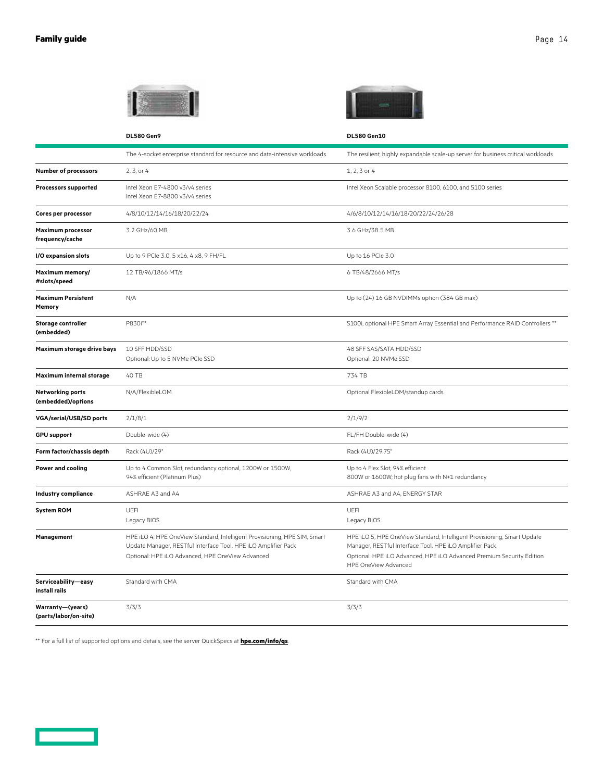|                                             | <b>DL580 Gen9</b>                                                                                                                                                                               | <b>DL580 Gen10</b>                                                                                                                                                                                                                  |
|---------------------------------------------|-------------------------------------------------------------------------------------------------------------------------------------------------------------------------------------------------|-------------------------------------------------------------------------------------------------------------------------------------------------------------------------------------------------------------------------------------|
|                                             | The 4-socket enterprise standard for resource and data-intensive workloads                                                                                                                      | The resilient, highly expandable scale-up server for business critical workloads                                                                                                                                                    |
| <b>Number of processors</b>                 | 2, 3, or 4                                                                                                                                                                                      | 1, 2, 3 or 4                                                                                                                                                                                                                        |
| <b>Processors supported</b>                 | Intel Xeon E7-4800 v3/v4 series<br>Intel Xeon E7-8800 v3/v4 series                                                                                                                              | Intel Xeon Scalable processor 8100, 6100, and 5100 series                                                                                                                                                                           |
| Cores per processor                         | 4/8/10/12/14/16/18/20/22/24                                                                                                                                                                     | 4/6/8/10/12/14/16/18/20/22/24/26/28                                                                                                                                                                                                 |
| <b>Maximum processor</b><br>frequency/cache | 3.2 GHz/60 MB                                                                                                                                                                                   | 3.6 GHz/38.5 MB                                                                                                                                                                                                                     |
| I/O expansion slots                         | Up to 9 PCIe 3.0, 5 x16, 4 x8, 9 FH/FL                                                                                                                                                          | Up to 16 PCle 3.0                                                                                                                                                                                                                   |
| Maximum memory/<br>#slots/speed             | 12 TB/96/1866 MT/s                                                                                                                                                                              | 6 TB/48/2666 MT/s                                                                                                                                                                                                                   |
| <b>Maximum Persistent</b><br>Memory         | N/A                                                                                                                                                                                             | Up to (24) 16 GB NVDIMMs option (384 GB max)                                                                                                                                                                                        |
| <b>Storage controller</b><br>(embedded)     | P830i**                                                                                                                                                                                         | S100i, optional HPE Smart Array Essential and Performance RAID Controllers **                                                                                                                                                       |
| Maximum storage drive bays                  | 10 SFF HDD/SSD<br>Optional: Up to 5 NVMe PCIe SSD                                                                                                                                               | 48 SFF SAS/SATA HDD/SSD<br>Optional: 20 NVMe SSD                                                                                                                                                                                    |
| Maximum internal storage                    | 40 TB                                                                                                                                                                                           | 734 TB                                                                                                                                                                                                                              |
| Networking ports<br>(embedded)/options      | N/A/FlexibleLOM                                                                                                                                                                                 | Optional FlexibleLOM/standup cards                                                                                                                                                                                                  |
| <b>VGA/serial/USB/SD ports</b>              | 2/1/8/1                                                                                                                                                                                         | 2/1/9/2                                                                                                                                                                                                                             |
| <b>GPU support</b>                          | Double-wide (4)                                                                                                                                                                                 | FL/FH Double-wide (4)                                                                                                                                                                                                               |
| Form factor/chassis depth                   | Rack (4U)/29"                                                                                                                                                                                   | Rack (4U)/29.75"                                                                                                                                                                                                                    |
| <b>Power and cooling</b>                    | Up to 4 Common Slot, redundancy optional, 1200W or 1500W,<br>94% efficient (Platinum Plus)                                                                                                      | Up to 4 Flex Slot, 94% efficient<br>800W or 1600W; hot plug fans with N+1 redundancy                                                                                                                                                |
| <b>Industry compliance</b>                  | ASHRAE A3 and A4                                                                                                                                                                                | ASHRAE A3 and A4, ENERGY STAR                                                                                                                                                                                                       |
| <b>System ROM</b>                           | <b>UEFI</b><br>Legacy BIOS                                                                                                                                                                      | UEFI<br>Legacy BIOS                                                                                                                                                                                                                 |
| Management                                  | HPE iLO 4, HPE OneView Standard, Intelligent Provisioning, HPE SIM, Smart<br>Update Manager, RESTful Interface Tool, HPE iLO Amplifier Pack<br>Optional: HPE iLO Advanced, HPE OneView Advanced | HPE iLO 5, HPE OneView Standard, Intelligent Provisioning, Smart Update<br>Manager, RESTful Interface Tool, HPE iLO Amplifier Pack<br>Optional: HPE iLO Advanced, HPE iLO Advanced Premium Security Edition<br>HPE OneView Advanced |
| Serviceability-easy<br>install rails        | Standard with CMA                                                                                                                                                                               | Standard with CMA                                                                                                                                                                                                                   |
| Warranty-(years)<br>(parts/labor/on-site)   | 3/3/3                                                                                                                                                                                           | 3/3/3                                                                                                                                                                                                                               |

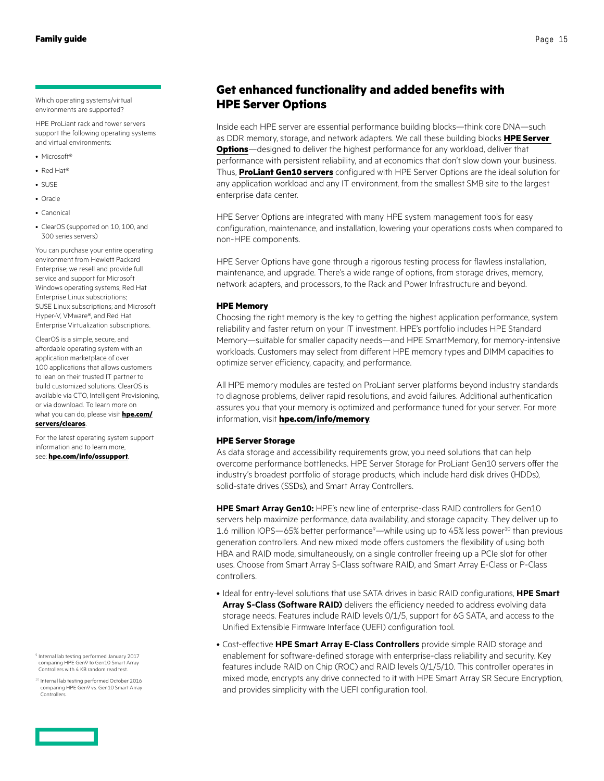<span id="page-14-0"></span>Which operating systems/virtual environments are supported?

HPE ProLiant rack and tower servers support the following operating systems and virtual environments:

- Microsoft<sup>®</sup>
- Red Hat®
- SUSE
- Oracle
- Canonical
- ClearOS (supported on 10, 100, and 300 series servers)

You can purchase your entire operating environment from Hewlett Packard Enterprise; we resell and provide full service and support for Microsoft Windows operating systems; Red Hat Enterprise Linux subscriptions; SUSE Linux subscriptions; and Microsoft Hyper-V, VMware®, and Red Hat Enterprise Virtualization subscriptions.

ClearOS is a simple, secure, and affordable operating system with an application marketplace of over 100 applications that allows customers to lean on their trusted IT partner to build customized solutions. ClearOS is available via CTO, Intelligent Provisioning, or via download. To learn more on what you can do, please visit **[hpe.com/](http://www.hpe.com/servers/clearos) [servers/clearos](http://www.hpe.com/servers/clearos)**.

For the latest operating system support information and to learn more, see: **[hpe.com/info/ossupport](http://www.hpe.com/info/ossupport)**.

<sup>9</sup> Internal lab testing performed January 2017 comparing HPE Gen9 to Gen10 Smart Array Controllers with 4 KB random read test.

<sup>10</sup> Internal lab testing performed October 2016 comparing HPE Gen9 vs. Gen10 Smart Array Controllers.

### **Get enhanced functionality and added benefits with HPE Server Options**

Inside each HPE server are essential performance building blocks—think core DNA—such as DDR memory, storage, and network adapters. We call these building blocks **[HPE Server](https://www.hpe.com/info/serveroptions)  [Options](https://www.hpe.com/info/serveroptions)**—designed to deliver the highest performance for any workload, deliver that performance with persistent reliability, and at economics that don't slow down your business. Thus, **[ProLiant Gen10 servers](https://www.hpe.com/info/gen10)** configured with HPE Server Options are the ideal solution for any application workload and any IT environment, from the smallest SMB site to the largest enterprise data center.

HPE Server Options are integrated with many HPE system management tools for easy configuration, maintenance, and installation, lowering your operations costs when compared to non-HPE components.

HPE Server Options have gone through a rigorous testing process for flawless installation, maintenance, and upgrade. There's a wide range of options, from storage drives, memory, network adapters, and processors, to the Rack and Power Infrastructure and beyond.

### **HPE Memory**

Choosing the right memory is the key to getting the highest application performance, system reliability and faster return on your IT investment. HPE's portfolio includes HPE Standard Memory—suitable for smaller capacity needs—and HPE SmartMemory, for memory-intensive workloads. Customers may select from different HPE memory types and DIMM capacities to optimize server efficiency, capacity, and performance.

All HPE memory modules are tested on ProLiant server platforms beyond industry standards to diagnose problems, deliver rapid resolutions, and avoid failures. Additional authentication assures you that your memory is optimized and performance tuned for your server. For more information, visit **[hpe.com/info/memory](http://www.hpe.com/info/memory)**.

### **HPE Server Storage**

As data storage and accessibility requirements grow, you need solutions that can help overcome performance bottlenecks. HPE Server Storage for ProLiant Gen10 servers offer the industry's broadest portfolio of storage products, which include hard disk drives (HDDs), solid-state drives (SSDs), and Smart Array Controllers.

**HPE Smart Array Gen10:** HPE's new line of enterprise-class RAID controllers for Gen10 servers help maximize performance, data availability, and storage capacity. They deliver up to 1.6 million IOPS—65% better performance $\degree$ —while using up to 45% less power $^{10}$  than previous generation controllers. And new mixed mode offers customers the flexibility of using both HBA and RAID mode, simultaneously, on a single controller freeing up a PCIe slot for other uses. Choose from Smart Array S-Class software RAID, and Smart Array E-Class or P-Class controllers.

- Ideal for entry-level solutions that use SATA drives in basic RAID configurations, **HPE Smart Array S-Class (Software RAID)** delivers the efficiency needed to address evolving data storage needs. Features include RAID levels 0/1/5, support for 6G SATA, and access to the Unified Extensible Firmware Interface (UEFI) configuration tool.
- Cost-effective **HPE Smart Array E-Class Controllers** provide simple RAID storage and enablement for software-defined storage with enterprise-class reliability and security. Key features include RAID on Chip (ROC) and RAID levels 0/1/5/10. This controller operates in mixed mode, encrypts any drive connected to it with HPE Smart Array SR Secure Encryption, and provides simplicity with the UEFI configuration tool.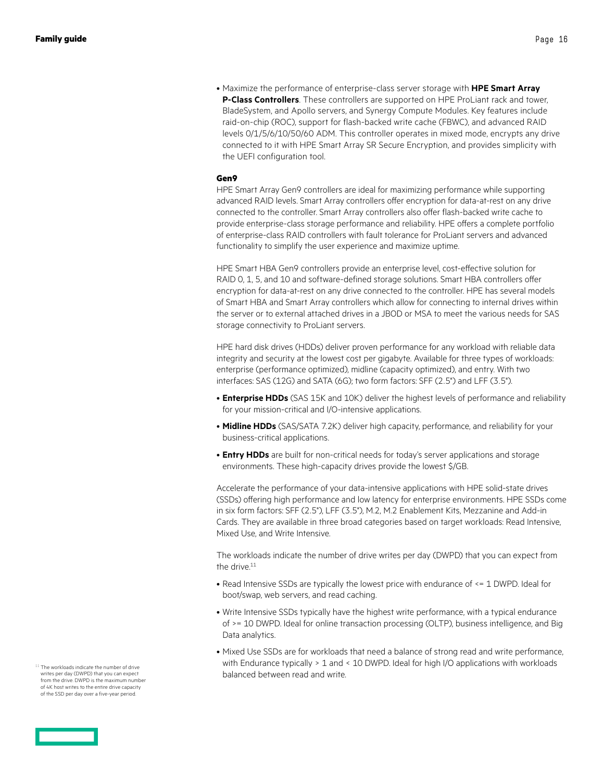• Maximize the performance of enterprise-class server storage with **HPE Smart Array P-Class Controllers**. These controllers are supported on HPE ProLiant rack and tower, BladeSystem, and Apollo servers, and Synergy Compute Modules. Key features include raid-on-chip (ROC), support for flash-backed write cache (FBWC), and advanced RAID levels 0/1/5/6/10/50/60 ADM. This controller operates in mixed mode, encrypts any drive connected to it with HPE Smart Array SR Secure Encryption, and provides simplicity with the UEFI configuration tool.

### **Gen9**

HPE Smart Array Gen9 controllers are ideal for maximizing performance while supporting advanced RAID levels. Smart Array controllers offer encryption for data-at-rest on any drive connected to the controller. Smart Array controllers also offer flash-backed write cache to provide enterprise-class storage performance and reliability. HPE offers a complete portfolio of enterprise-class RAID controllers with fault tolerance for ProLiant servers and advanced functionality to simplify the user experience and maximize uptime.

HPE Smart HBA Gen9 controllers provide an enterprise level, cost-effective solution for RAID 0, 1, 5, and 10 and software-defined storage solutions. Smart HBA controllers offer encryption for data-at-rest on any drive connected to the controller. HPE has several models of Smart HBA and Smart Array controllers which allow for connecting to internal drives within the server or to external attached drives in a JBOD or MSA to meet the various needs for SAS storage connectivity to ProLiant servers.

HPE hard disk drives (HDDs) deliver proven performance for any workload with reliable data integrity and security at the lowest cost per gigabyte. Available for three types of workloads: enterprise (performance optimized), midline (capacity optimized), and entry. With two interfaces: SAS (12G) and SATA (6G); two form factors: SFF (2.5") and LFF (3.5").

- **Enterprise HDDs** (SAS 15K and 10K) deliver the highest levels of performance and reliability for your mission-critical and I/O-intensive applications.
- **Midline HDDs** (SAS/SATA 7.2K) deliver high capacity, performance, and reliability for your business-critical applications.
- **Entry HDDs** are built for non-critical needs for today's server applications and storage environments. These high-capacity drives provide the lowest \$/GB.

Accelerate the performance of your data-intensive applications with HPE solid-state drives (SSDs) offering high performance and low latency for enterprise environments. HPE SSDs come in six form factors: SFF (2.5"), LFF (3.5"), M.2, M.2 Enablement Kits, Mezzanine and Add-in Cards. They are available in three broad categories based on target workloads: Read Intensive, Mixed Use, and Write Intensive.

The workloads indicate the number of drive writes per day (DWPD) that you can expect from the drive.<sup>11</sup>

- Read Intensive SSDs are typically the lowest price with endurance of <= 1 DWPD. Ideal for boot/swap, web servers, and read caching.
- Write Intensive SSDs typically have the highest write performance, with a typical endurance of >= 10 DWPD. Ideal for online transaction processing (OLTP), business intelligence, and Big Data analytics.
- Mixed Use SSDs are for workloads that need a balance of strong read and write performance, with Endurance typically > 1 and < 10 DWPD. Ideal for high I/O applications with workloads balanced between read and write.

The workloads indicate the number of drive writes per day (DWPD) that you can expect from the drive. DWPD is the maximum number of 4K host writes to the entire drive capacity of the SSD per day over a five-year period.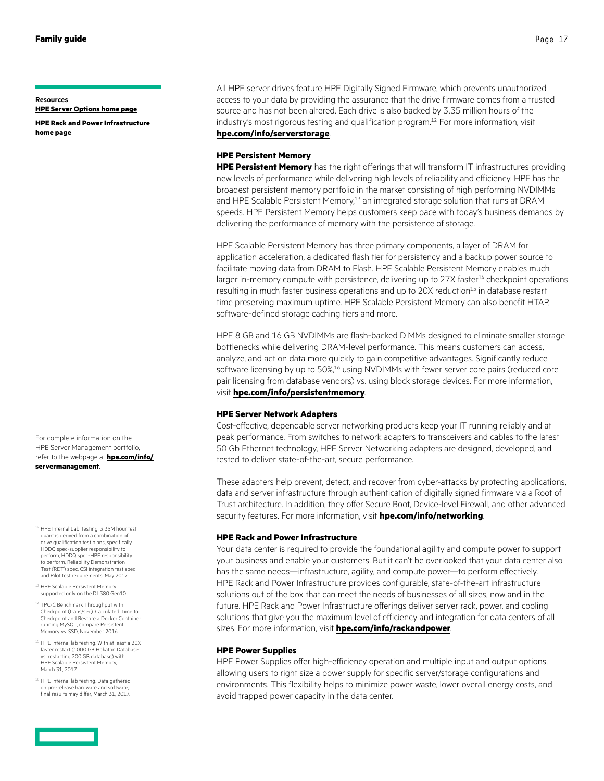### **Resources**

**[HPE Server Options home page](http://www.hpe.com/info/qualifiedoptions) [HPE Rack and Power Infrastructure](http://www.hpe.com/info/rackandpower)  [home page](http://www.hpe.com/info/rackandpower)**

For complete information on the HPE Server Management portfolio, refer to the webpage at **[hpe.com/info/](http://www.hpe.com/info/servermanagement) [servermanagement](http://www.hpe.com/info/servermanagement)**.

- 12 HPE Internal Lab Testing. 3.35M hour test quant is derived from a combination of drive qualification test plans, specifically HDDQ spec-supplier responsibility to perform, HDDQ spec-HPE responsibility to perform, Reliability Demonstration Test (RDT) spec, CSI integration test spec and Pilot test requirements. May 2017.
- <sup>13</sup> HPE Scalable Persistent Memory supported only on the DL380 Gen10.
- <sup>14</sup> TPC-C Benchmark Throughput with Checkpoint (trans/sec). Calculated Time to Checkpoint and Restore a Docker Container running MySQL, compare Persistent Memory vs. SSD, November 2016.
- <sup>15</sup> HPE internal lab testing. With at least a 20X faster restart (1000 GB Hekaton Database vs. restarting 200 GB database) with HPE Scalable Persistent Memory, March 31, 2017.
- <sup>16</sup> HPE internal lab testing. Data gathered on pre-release hardware and software, final results may differ, March 31, 2017.

All HPE server drives feature HPE Digitally Signed Firmware, which prevents unauthorized access to your data by providing the assurance that the drive firmware comes from a trusted source and has not been altered. Each drive is also backed by 3.35 million hours of the industry's most rigorous testing and qualification program.<sup>12</sup> For more information, visit **[hpe.com/info/serverstorage](http://www.hpe.com/info/serverstorage)**.

### **HPE Persistent Memory**

**[HPE Persistent Memory](https://www.hpe.com/info/persistentmemory)** has the right offerings that will transform IT infrastructures providing new levels of performance while delivering high levels of reliability and efficiency. HPE has the broadest persistent memory portfolio in the market consisting of high performing NVDIMMs and HPE Scalable Persistent Memory,<sup>13</sup> an integrated storage solution that runs at DRAM speeds. HPE Persistent Memory helps customers keep pace with today's business demands by delivering the performance of memory with the persistence of storage.

HPE Scalable Persistent Memory has three primary components, a layer of DRAM for application acceleration, a dedicated flash tier for persistency and a backup power source to facilitate moving data from DRAM to Flash. HPE Scalable Persistent Memory enables much larger in-memory compute with persistence, delivering up to 27X faster<sup>14</sup> checkpoint operations resulting in much faster business operations and up to 20X reduction<sup>15</sup> in database restart time preserving maximum uptime. HPE Scalable Persistent Memory can also benefit HTAP, software-defined storage caching tiers and more.

HPE 8 GB and 16 GB NVDIMMs are flash-backed DIMMs designed to eliminate smaller storage bottlenecks while delivering DRAM-level performance. This means customers can access, analyze, and act on data more quickly to gain competitive advantages. Significantly reduce software licensing by up to 50%,<sup>16</sup> using NVDIMMs with fewer server core pairs (reduced core pair licensing from database vendors) vs. using block storage devices. For more information, visit **[hpe.com/info/persistentmemory](http://www.hpe.com/info/persistentmemory)**.

### **HPE Server Network Adapters**

Cost-effective, dependable server networking products keep your IT running reliably and at peak performance. From switches to network adapters to transceivers and cables to the latest 50 Gb Ethernet technology, HPE Server Networking adapters are designed, developed, and tested to deliver state-of-the-art, secure performance.

These adapters help prevent, detect, and recover from cyber-attacks by protecting applications, data and server infrastructure through authentication of digitally signed firmware via a Root of Trust architecture. In addition, they offer Secure Boot, Device-level Firewall, and other advanced security features. For more information, visit **[hpe.com/info/networking](http://www.hpe.com/info/networking)**.

### **HPE Rack and Power Infrastructure**

Your data center is required to provide the foundational agility and compute power to support your business and enable your customers. But it can't be overlooked that your data center also has the same needs—infrastructure, agility, and compute power—to perform effectively. HPE Rack and Power Infrastructure provides configurable, state-of-the-art infrastructure solutions out of the box that can meet the needs of businesses of all sizes, now and in the future. HPE Rack and Power Infrastructure offerings deliver server rack, power, and cooling solutions that give you the maximum level of efficiency and integration for data centers of all sizes. For more information, visit **[hpe.com/info/rackandpower](http://www.hpe.com/info/rackandpower)**.

### **HPE Power Supplies**

HPE Power Supplies offer high-efficiency operation and multiple input and output options, allowing users to right size a power supply for specific server/storage configurations and environments. This flexibility helps to minimize power waste, lower overall energy costs, and avoid trapped power capacity in the data center.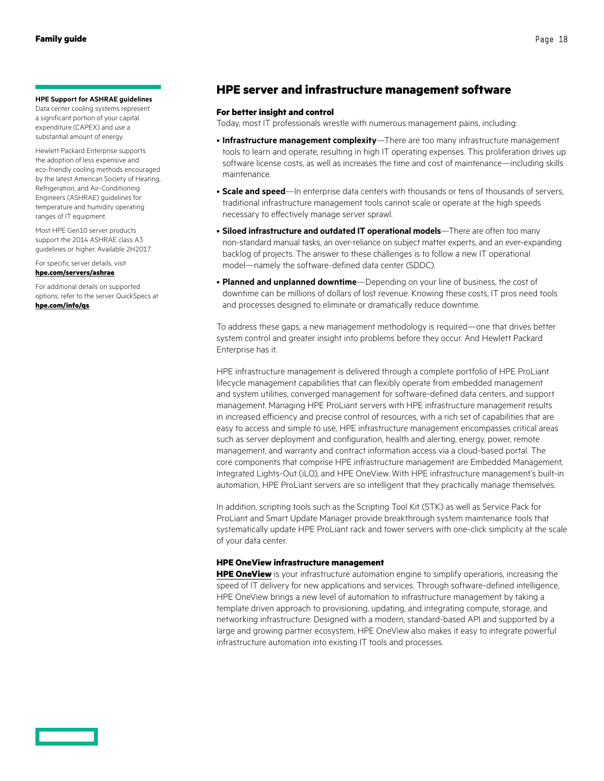### <span id="page-17-0"></span>**HPE Support for ASHRAE guidelines**

Data center cooling systems represent a significant portion of your capital expenditure (CAPEX) and use a substantial amount of energy.

Hewlett Packard Enterprise supports the adoption of less expensive and eco-friendly cooling methods encouraged by the latest American Society of Heating, Refrigeration, and Air-Conditioning Engineers (ASHRAE) guidelines for temperature and humidity operating ranges of IT equipment.

Most HPE Gen10 server products support the 2014 ASHRAE class A3 guidelines or higher. Available 2H2017.

For specific server details, visit **[hpe.com/servers/ashrae](http://www.hpe.com/servers/ashrae)**.

For additional details on supported options, refer to the server QuickSpecs at **[hpe.com/info/qs](http://www.hpe.com/info/qs)**.

### **HPE server and infrastructure management software**

### **For better insight and control**

Today, most IT professionals wrestle with numerous management pains, including:

- **Infrastructure management complexity**—There are too many infrastructure management tools to learn and operate, resulting in high IT operating expenses. This proliferation drives up software license costs, as well as increases the time and cost of maintenance—including skills maintenance.
- **Scale and speed**—In enterprise data centers with thousands or tens of thousands of servers, traditional infrastructure management tools cannot scale or operate at the high speeds necessary to effectively manage server sprawl.
- **Siloed infrastructure and outdated IT operational models**—There are often too many non-standard manual tasks, an over-reliance on subject matter experts, and an ever-expanding backlog of projects. The answer to these challenges is to follow a new IT operational model—namely the software-defined data center (SDDC).
- **Planned and unplanned downtime**—Depending on your line of business, the cost of downtime can be millions of dollars of lost revenue. Knowing these costs, IT pros need tools and processes designed to eliminate or dramatically reduce downtime.

To address these gaps, a new management methodology is required—one that drives better system control and greater insight into problems before they occur. And Hewlett Packard Enterprise has it.

HPE infrastructure management is delivered through a complete portfolio of HPE ProLiant lifecycle management capabilities that can flexibly operate from embedded management and system utilities, converged management for software-defined data centers, and support management. Managing HPE ProLiant servers with HPE infrastructure management results in increased efficiency and precise control of resources, with a rich set of capabilities that are easy to access and simple to use, HPE infrastructure management encompasses critical areas such as server deployment and configuration, health and alerting, energy, power, remote management, and warranty and contract information access via a cloud-based portal. The core components that comprise HPE infrastructure management are Embedded Management, Integrated Lights-Out (iLO), and HPE OneView. With HPE infrastructure management's built-in automation, HPE ProLiant servers are so intelligent that they practically manage themselves.

In addition, scripting tools such as the Scripting Tool Kit (STK) as well as Service Pack for ProLiant and Smart Update Manager provide breakthrough system maintenance tools that systematically update HPE ProLiant rack and tower servers with one-click simplicity at the scale of your data center.

### **HPE OneView infrastructure management**

**[HPE OneView](https://www.hpe.com/info/hpeoneview)** is your infrastructure automation engine to simplify operations, increasing the speed of IT delivery for new applications and services. Through software-defined intelligence, HPE OneView brings a new level of automation to infrastructure management by taking a template driven approach to provisioning, updating, and integrating compute, storage, and networking infrastructure. Designed with a modern, standard-based API and supported by a large and growing partner ecosystem, HPE OneView also makes it easy to integrate powerful infrastructure automation into existing IT tools and processes.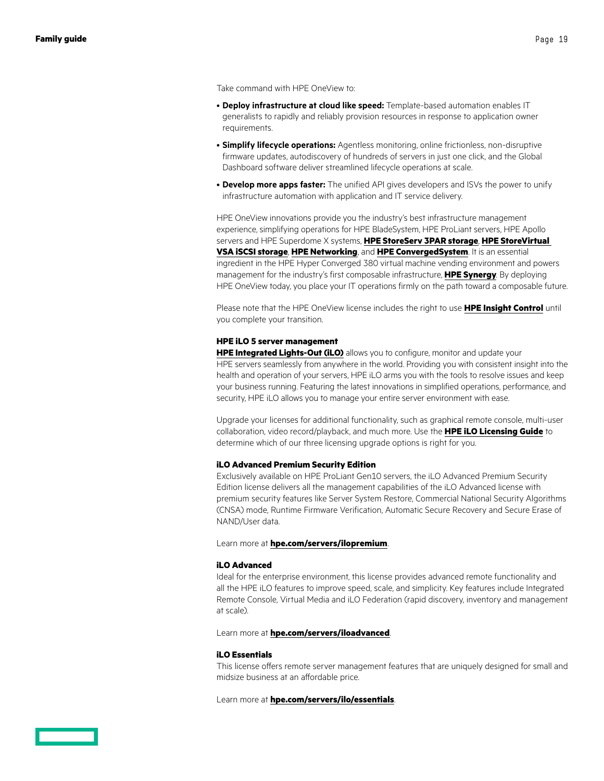Take command with HPE OneView to:

- **Deploy infrastructure at cloud like speed:** Template-based automation enables IT generalists to rapidly and reliably provision resources in response to application owner requirements.
- **Simplify lifecycle operations:** Agentless monitoring, online frictionless, non-disruptive firmware updates, autodiscovery of hundreds of servers in just one click, and the Global Dashboard software deliver streamlined lifecycle operations at scale.
- **Develop more apps faster:** The unified API gives developers and ISVs the power to unify infrastructure automation with application and IT service delivery.

HPE OneView innovations provide you the industry's best infrastructure management experience, simplifying operations for HPE BladeSystem, HPE ProLiant servers, HPE Apollo servers and HPE Superdome X systems, **[HPE StoreServ 3PAR storage](https://www.hpe.com/info/storeserv)**, **[HPE StoreVirtual](https://www.hpe.com/storage/StoreVirtual)  [VSA iSCSI storage](https://www.hpe.com/storage/StoreVirtual)**, **[HPE Networking](https://www.hpe.com/networking)**, and **[HPE ConvergedSystem](https://www.hpe.com/info/convergedsystems)**. It is an essential ingredient in the HPE Hyper Converged 380 virtual machine vending environment and powers management for the industry's first composable infrastructure, **[HPE Synergy](https://www.hpe.com/info/synergy)**. By deploying HPE OneView today, you place your IT operations firmly on the path toward a composable future.

Please note that the HPE OneView license includes the right to use **[HPE Insight Control](https://www.hpe.com/info/insightcontrol)** until you complete your transition.

### **HPE iLO 5 server management**

**[HPE Integrated Lights-Out \(iLO\)](https://www.hpe.com/info/ilo)** allows you to configure, monitor and update your HPE servers seamlessly from anywhere in the world. Providing you with consistent insight into the health and operation of your servers, HPE iLO arms you with the tools to resolve issues and keep your business running. Featuring the latest innovations in simplified operations, performance, and security, HPE iLO allows you to manage your entire server environment with ease.

Upgrade your licenses for additional functionality, such as graphical remote console, multi-user collaboration, video record/playback, and much more. Use the **[HPE iLO Licensing Guide](http://h20564.www2.hpe.com/hpsc/doc/public/display?docId=c04951959)** to determine which of our three licensing upgrade options is right for you.

#### **iLO Advanced Premium Security Edition**

Exclusively available on HPE ProLiant Gen10 servers, the iLO Advanced Premium Security Edition license delivers all the management capabilities of the iLO Advanced license with premium security features like Server System Restore, Commercial National Security Algorithms (CNSA) mode, Runtime Firmware Verification, Automatic Secure Recovery and Secure Erase of NAND/User data.

Learn more at **[hpe.com/servers/ilopremium](http://www.hpe.com/servers/ilopremium)**.

### **iLO Advanced**

Ideal for the enterprise environment, this license provides advanced remote functionality and all the HPE iLO features to improve speed, scale, and simplicity. Key features include Integrated Remote Console, Virtual Media and iLO Federation (rapid discovery, inventory and management at scale).

Learn more at **[hpe.com/servers/iloadvanced](http://www.hpe.com/servers/iloadvanced)**.

### **iLO Essentials**

This license offers remote server management features that are uniquely designed for small and midsize business at an affordable price.

Learn more at **[hpe.com/servers/ilo/essentials](http://hpe.com/servers/ilo/essentials)**.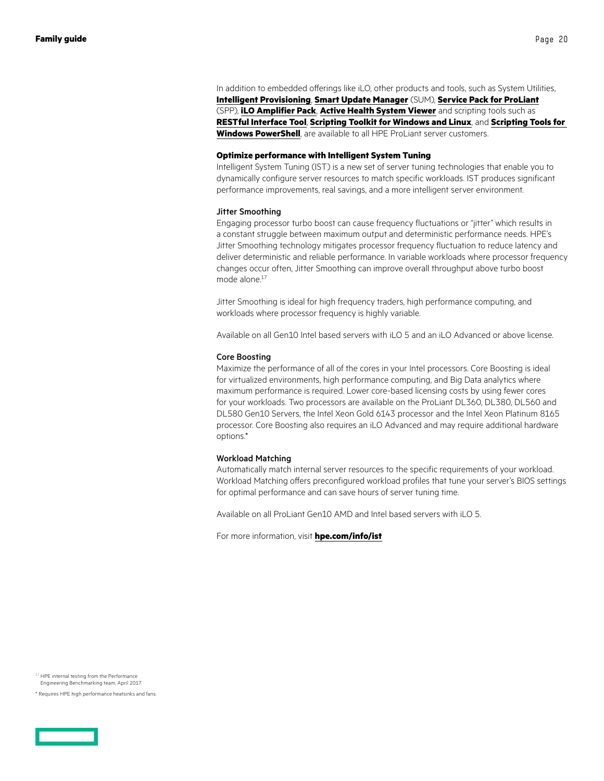In addition to embedded offerings like iLO, other products and tools, such as System Utilities, **[Intelligent Provisioning](https://www.hpe.com/us/en/product-catalog/detail/pip.5219984.html)**, **[Smart Update Manager](https://www.hpe.com/us/en/product-catalog/detail/pip.5182020.html)** (SUM), **[Service Pack for ProLiant](https://www.hpe.com/us/en/product-catalog/detail/pip.service-pack-for-proLiant.5104018.html)** (SPP), **[iLO Amplifier Pack](http://www.hpe.com/servers/iloamplifierpack)**, **[Active Health System Viewer](http://www.hpe.com/servers/ahs)** and scripting tools such as **[RESTful Interface Tool](https://www.hpe.com/us/en/product-catalog/detail/pip.7630408.html)**, **[Scripting Toolkit for Windows and Linux](https://www.hpe.com/us/en/product-catalog/detail/pip.5219389.html)**, and **[Scripting Tools for](https://www.hpe.com/us/en/product-catalog/detail/pip.5440657.html)  [Windows PowerShell](https://www.hpe.com/us/en/product-catalog/detail/pip.5440657.html)**, are available to all HPE ProLiant server customers.

### **Optimize performance with Intelligent System Tuning**

Intelligent System Tuning (IST) is a new set of server tuning technologies that enable you to dynamically configure server resources to match specific workloads. IST produces significant performance improvements, real savings, and a more intelligent server environment.

### Jitter Smoothing

Engaging processor turbo boost can cause frequency fluctuations or "jitter" which results in a constant struggle between maximum output and deterministic performance needs. HPE's Jitter Smoothing technology mitigates processor frequency fluctuation to reduce latency and deliver deterministic and reliable performance. In variable workloads where processor frequency changes occur often, Jitter Smoothing can improve overall throughput above turbo boost mode alone.<sup>17</sup>

Jitter Smoothing is ideal for high frequency traders, high performance computing, and workloads where processor frequency is highly variable.

Available on all Gen10 Intel based servers with iLO 5 and an iLO Advanced or above license.

### Core Boosting

Maximize the performance of all of the cores in your Intel processors. Core Boosting is ideal for virtualized environments, high performance computing, and Big Data analytics where maximum performance is required. Lower core-based licensing costs by using fewer cores for your workloads. Two processors are available on the ProLiant DL360, DL380, DL560 and DL580 Gen10 Servers, the Intel Xeon Gold 6143 processor and the Intel Xeon Platinum 8165 processor. Core Boosting also requires an iLO Advanced and may require additional hardware options.\*

#### Workload Matching

Automatically match internal server resources to the specific requirements of your workload. Workload Matching offers preconfigured workload profiles that tune your server's BIOS settings for optimal performance and can save hours of server tuning time.

Available on all ProLiant Gen10 AMD and Intel based servers with iLO 5.

For more information, visit **[hpe.com/info/ist](http://hpe.com/info/ist)**

<sup>&</sup>lt;sup>17</sup> HPE internal testing from the Performance Engineering Benchmarking team, April 2017.

<sup>\*</sup> Requires HPE high performance heatsinks and fans.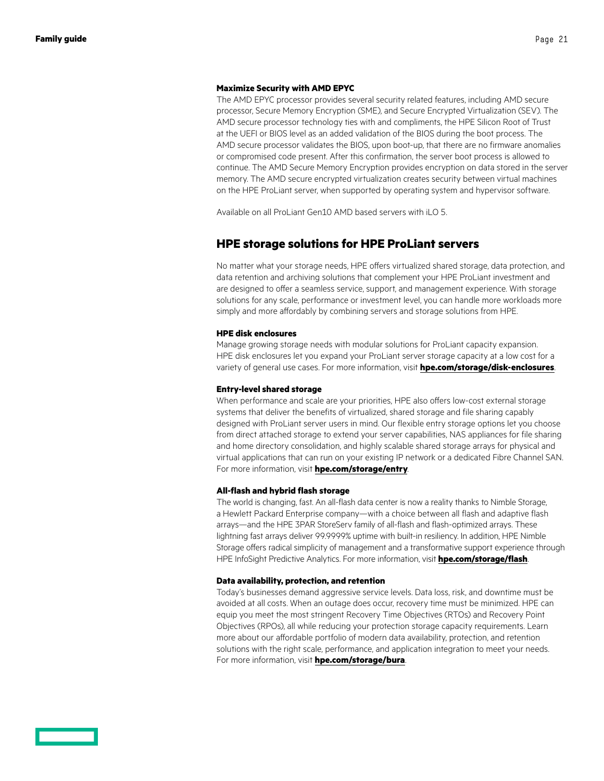#### <span id="page-20-0"></span>**Maximize Security with AMD EPYC**

The AMD EPYC processor provides several security related features, including AMD secure processor, Secure Memory Encryption (SME), and Secure Encrypted Virtualization (SEV). The AMD secure processor technology ties with and compliments, the HPE Silicon Root of Trust at the UEFI or BIOS level as an added validation of the BIOS during the boot process. The AMD secure processor validates the BIOS, upon boot-up, that there are no firmware anomalies or compromised code present. After this confirmation, the server boot process is allowed to continue. The AMD Secure Memory Encryption provides encryption on data stored in the server memory. The AMD secure encrypted virtualization creates security between virtual machines on the HPE ProLiant server, when supported by operating system and hypervisor software.

Available on all ProLiant Gen10 AMD based servers with iLO 5.

### **HPE storage solutions for HPE ProLiant servers**

No matter what your storage needs, HPE offers virtualized shared storage, data protection, and data retention and archiving solutions that complement your HPE ProLiant investment and are designed to offer a seamless service, support, and management experience. With storage solutions for any scale, performance or investment level, you can handle more workloads more simply and more affordably by combining servers and storage solutions from HPE.

### **HPE disk enclosures**

Manage growing storage needs with modular solutions for ProLiant capacity expansion. HPE disk enclosures let you expand your ProLiant server storage capacity at a low cost for a variety of general use cases. For more information, visit **[hpe.com/storage/disk-enclosures](http://www.hpe.com/storage/disk-enclosures)**.

#### **Entry-level shared storage**

When performance and scale are your priorities, HPE also offers low-cost external storage systems that deliver the benefits of virtualized, shared storage and file sharing capably designed with ProLiant server users in mind. Our flexible entry storage options let you choose from direct attached storage to extend your server capabilities, NAS appliances for file sharing and home directory consolidation, and highly scalable shared storage arrays for physical and virtual applications that can run on your existing IP network or a dedicated Fibre Channel SAN. For more information, visit **[hpe.com/storage/entry](http://www.hpe.com/storage/entry)**.

### **All-flash and hybrid flash storage**

The world is changing, fast. An all-flash data center is now a reality thanks to Nimble Storage, a Hewlett Packard Enterprise company—with a choice between all flash and adaptive flash arrays—and the HPE 3PAR StoreServ family of all-flash and flash-optimized arrays. These lightning fast arrays deliver 99.9999% uptime with built-in resiliency. In addition, HPE Nimble Storage offers radical simplicity of management and a transformative support experience through HPE InfoSight Predictive Analytics. For more information, visit **[hpe.com/storage/flash](http://www.hpe.com/storage/flash)**.

### **Data availability, protection, and retention**

Today's businesses demand aggressive service levels. Data loss, risk, and downtime must be avoided at all costs. When an outage does occur, recovery time must be minimized. HPE can equip you meet the most stringent Recovery Time Objectives (RTOs) and Recovery Point Objectives (RPOs), all while reducing your protection storage capacity requirements. Learn more about our affordable portfolio of modern data availability, protection, and retention solutions with the right scale, performance, and application integration to meet your needs. For more information, visit **[hpe.com/storage/bura](http://hpe.com/storage/bura)**.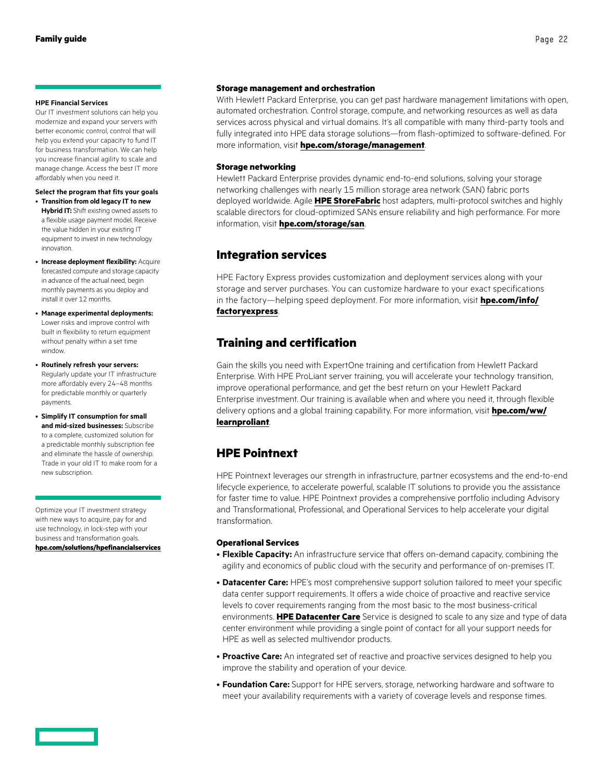### <span id="page-21-0"></span>**HPE Financial Services**

Our IT investment solutions can help you modernize and expand your servers with better economic control, control that will help you extend your capacity to fund IT for business transformation. We can help you increase financial agility to scale and manage change. Access the best IT more affordably when you need it.

### **Select the program that fits your goals**

- **Transition from old legacy IT to new Hybrid IT:** Shift existing owned assets to a flexible usage payment model. Receive the value hidden in your existing IT equipment to invest in new technology innovation.
- **Increase deployment flexibility:** Acquire forecasted compute and storage capacity in advance of the actual need, begin monthly payments as you deploy and install it over 12 months.
- **Manage experimental deployments:**  Lower risks and improve control with built in flexibility to return equipment without penalty within a set time window.
- **Routinely refresh your servers:**  Regularly update your IT infrastructure more affordably every 24–48 months for predictable monthly or quarterly payments.
- **Simplify IT consumption for small and mid-sized businesses:** Subscribe to a complete, customized solution for a predictable monthly subscription fee and eliminate the hassle of ownership. Trade in your old IT to make room for a new subscription.

Optimize your IT investment strategy with new ways to acquire, pay for and use technology, in lock-step with your business and transformation goals. **[hpe.com/solutions/hpefinancialservices](http://www.hpe.com/solutions/hpefinancialservices)**

#### **Storage management and orchestration**

With Hewlett Packard Enterprise, you can get past hardware management limitations with open, automated orchestration. Control storage, compute, and networking resources as well as data services across physical and virtual domains. It's all compatible with many third-party tools and fully integrated into HPE data storage solutions—from flash-optimized to software-defined. For more information, visit **[hpe.com/storage/management](http://hpe.com/storage/management)**.

### **Storage networking**

Hewlett Packard Enterprise provides dynamic end-to-end solutions, solving your storage networking challenges with nearly 15 million storage area network (SAN) fabric ports deployed worldwide. Agile **[HPE StoreFabric](https://www.hpe.com/storage/StoreFabric)** host adapters, multi-protocol switches and highly scalable directors for cloud-optimized SANs ensure reliability and high performance. For more information, visit **[hpe.com/storage/san](http://hpe.com/storage/san)**.

### **Integration services**

HPE Factory Express provides customization and deployment services along with your storage and server purchases. You can customize hardware to your exact specifications in the factory—helping speed deployment. For more information, visit **[hpe.com/info/](http://www.hpe.com/info/factoryexpress) [factoryexpress](http://www.hpe.com/info/factoryexpress)**.

### **Training and certification**

Gain the skills you need with ExpertOne training and certification from Hewlett Packard Enterprise. With HPE ProLiant server training, you will accelerate your technology transition, improve operational performance, and get the best return on your Hewlett Packard Enterprise investment. Our training is available when and where you need it, through flexible delivery options and a global training capability. For more information, visit **[hpe.com/ww/](http://www.hpe.com/ww/learnproliant) [learnproliant](http://www.hpe.com/ww/learnproliant)**.

### **HPE Pointnext**

HPE Pointnext leverages our strength in infrastructure, partner ecosystems and the end-to-end lifecycle experience, to accelerate powerful, scalable IT solutions to provide you the assistance for faster time to value. HPE Pointnext provides a comprehensive portfolio including Advisory and Transformational, Professional, and Operational Services to help accelerate your digital transformation.

### **Operational Services**

- **Flexible Capacity:** An infrastructure service that offers on-demand capacity, combining the agility and economics of public cloud with the security and performance of on-premises IT.
- **Datacenter Care:** HPE's most comprehensive support solution tailored to meet your specific data center support requirements. It offers a wide choice of proactive and reactive service levels to cover requirements ranging from the most basic to the most business-critical environments. **[HPE Datacenter Care](https://www.hpe.com/services/datacentercare)** Service is designed to scale to any size and type of data center environment while providing a single point of contact for all your support needs for HPE as well as selected multivendor products.
- **Proactive Care:** An integrated set of reactive and proactive services designed to help you improve the stability and operation of your device.
- **Foundation Care:** Support for HPE servers, storage, networking hardware and software to meet your availability requirements with a variety of coverage levels and response times.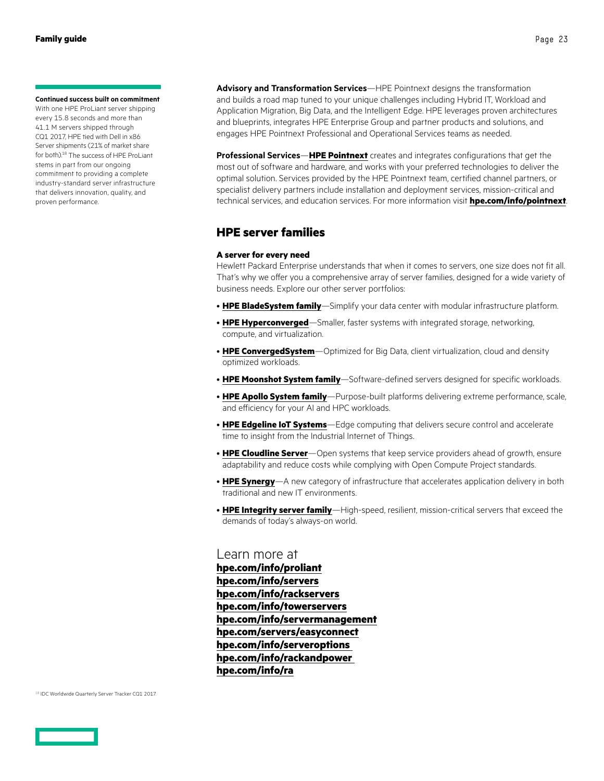#### <span id="page-22-0"></span>**Continued success built on commitment**

With one HPE ProLiant server shipping every 15.8 seconds and more than 41.1 M servers shipped through CQ1 2017, HPE tied with Dell in x86 Server shipments (21% of market share for both).<sup>18</sup> The success of HPE ProLiant stems in part from our ongoing commitment to providing a complete industry-standard server infrastructure that delivers innovation, quality, and proven performance.

**Advisory and Transformation Services**—HPE Pointnext designs the transformation and builds a road map tuned to your unique challenges including Hybrid IT, Workload and Application Migration, Big Data, and the Intelligent Edge. HPE leverages proven architectures and blueprints, integrates HPE Enterprise Group and partner products and solutions, and engages HPE Pointnext Professional and Operational Services teams as needed.

**Professional Services**—**[HPE Pointnext](https://www.hpe.com/info/pointnext)** creates and integrates configurations that get the most out of software and hardware, and works with your preferred technologies to deliver the optimal solution. Services provided by the HPE Pointnext team, certified channel partners, or specialist delivery partners include installation and deployment services, mission-critical and technical services, and education services. For more information visit **[hpe.com/info/pointnext](http://www.hpe.com/info/pointnext)**.

### **HPE server families**

### **A server for every need**

Hewlett Packard Enterprise understands that when it comes to servers, one size does not fit all. That's why we offer you a comprehensive array of server families, designed for a wide variety of business needs. Explore our other server portfolios:

- **[HPE BladeSystem family](https://www.hpe.com/h20195/v2/Getdocument.aspx?docname=4AA1-4286ENW)**—Simplify your data center with modular infrastructure platform.
- **[HPE Hyperconverged](http://www.hpe.com/info/hyperconverged)**—Smaller, faster systems with integrated storage, networking, compute, and virtualization.
- **[HPE ConvergedSystem](http://www.hpe.com/info/convergedsystem)**—Optimized for Big Data, client virtualization, cloud and density optimized workloads.
- **[HPE Moonshot System family](https://www.hpe.com/h20195/v2/Getdocument.aspx?docname=4AA4-6076ENW)**—Software-defined servers designed for specific workloads.
- **[HPE Apollo System family](http://www.hpe.com/info/apollo)**—Purpose-built platforms delivering extreme performance, scale, and efficiency for your AI and HPC workloads.
- **[HPE Edgeline IoT Systems](http://www.hpe.com/servers/edgeline)**—Edge computing that delivers secure control and accelerate time to insight from the Industrial Internet of Things.
- **[HPE Cloudline Server](http://www.hpe.com/info/cloudline)**—Open systems that keep service providers ahead of growth, ensure adaptability and reduce costs while complying with Open Compute Project standards.
- **[HPE Synergy](http://hpe.com/info/synergy)**—A new category of infrastructure that accelerates application delivery in both traditional and new IT environments.
- **[HPE Integrity server family](https://www.hpe.com/h20195/v2/Getdocument.aspx?docname=4AA3-4519ENW)**—High-speed, resilient, mission-critical servers that exceed the demands of today's always-on world.

Learn more at **[hpe.com/info/proliant](http://www.hpe.com/info/proliant) [hpe.com/info/servers](http://www.hpe.com/info/servers) [hpe.com/info/rackservers](http://www.hpe.com/info/rackservers) [hpe.com/info/towerservers](http://www.hpe.com/info/towerservers) [hpe.com/info/servermanagement](http://www.hpe.com/info/servermanagement) [hpe.com/servers/easyconnect](http://hpe.com/servers/easyconnect) [hpe.com/info/serveroptions](http://www.hpe.com/info/serveroptions)  [hpe.com/info/rackandpower](http://www.hpe.com/info/rackandpower)  [hpe.com/info/ra](http://www.hpe.com/info/ra)**

<sup>18</sup> IDC Worldwide Quarterly Server Tracker CQ1 2017.